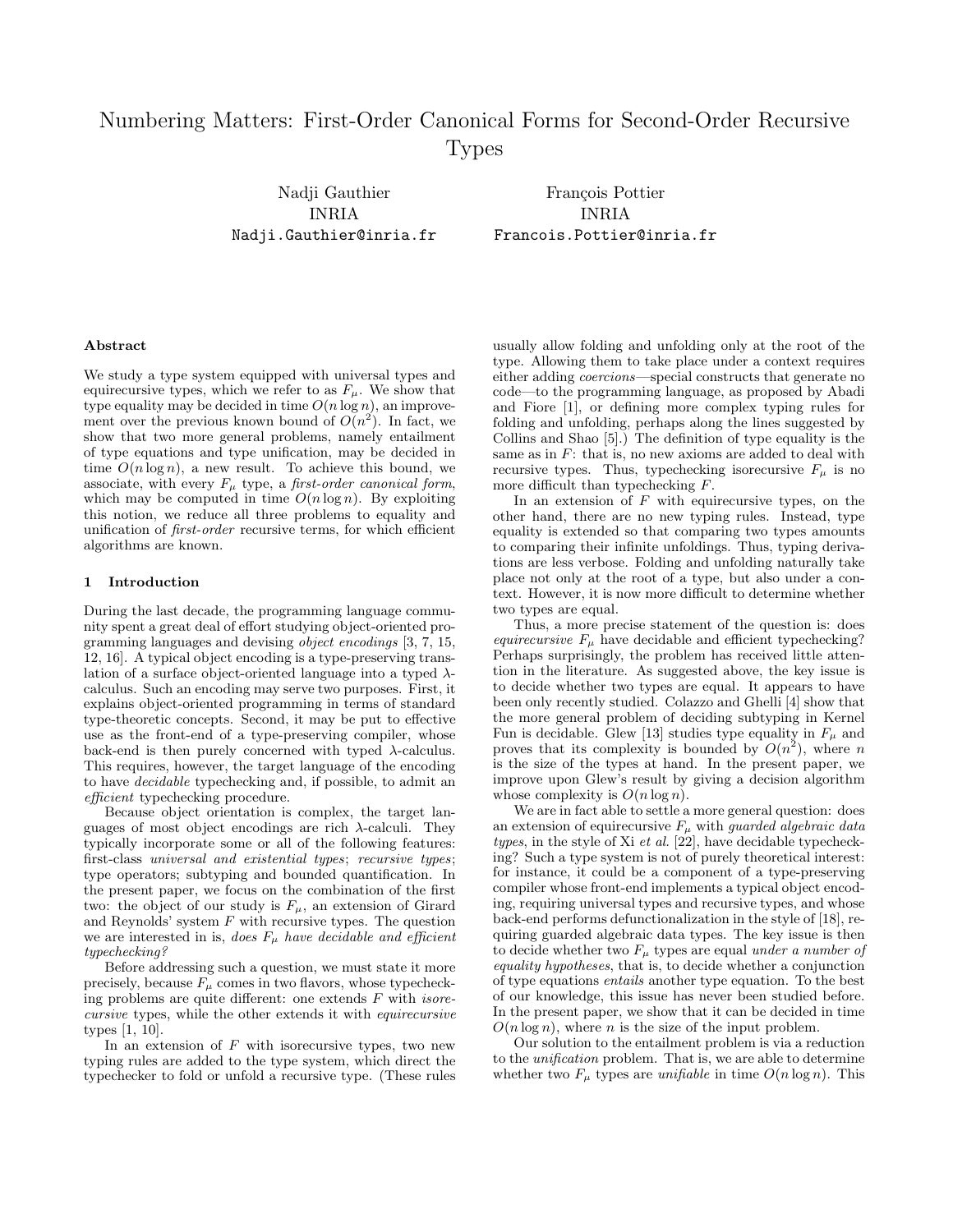# Numbering Matters: First-Order Canonical Forms for Second-Order Recursive Types

Nadji Gauthier INRIA Nadji.Gauthier@inria.fr

François Pottier INRIA Francois.Pottier@inria.fr

## Abstract

We study a type system equipped with universal types and equirecursive types, which we refer to as  $F_{\mu}$ . We show that type equality may be decided in time  $O(n \log n)$ , an improvement over the previous known bound of  $\overline{O}(n^2)$ . In fact, we show that two more general problems, namely entailment of type equations and type unification, may be decided in time  $O(n \log n)$ , a new result. To achieve this bound, we associate, with every  $F_{\mu}$  type, a *first-order canonical form*, which may be computed in time  $O(n \log n)$ . By exploiting this notion, we reduce all three problems to equality and unification of first-order recursive terms, for which efficient algorithms are known.

## 1 Introduction

During the last decade, the programming language community spent a great deal of effort studying object-oriented programming languages and devising object encodings [3, 7, 15, 12, 16]. A typical object encoding is a type-preserving translation of a surface object-oriented language into a typed  $\lambda$ calculus. Such an encoding may serve two purposes. First, it explains object-oriented programming in terms of standard type-theoretic concepts. Second, it may be put to effective use as the front-end of a type-preserving compiler, whose back-end is then purely concerned with typed  $\lambda$ -calculus. This requires, however, the target language of the encoding to have decidable typechecking and, if possible, to admit an efficient typechecking procedure.

Because object orientation is complex, the target languages of most object encodings are rich  $\lambda$ -calculi. They typically incorporate some or all of the following features: first-class universal and existential types; recursive types; type operators; subtyping and bounded quantification. In the present paper, we focus on the combination of the first two: the object of our study is  $F_{\mu}$ , an extension of Girard and Reynolds' system  ${\cal F}$  with recursive types. The question we are interested in is, does  $F_{\mu}$  have decidable and efficient typechecking?

Before addressing such a question, we must state it more precisely, because  $F_{\mu}$  comes in two flavors, whose typechecking problems are quite different: one extends  $F$  with *isore*cursive types, while the other extends it with equirecursive types [1, 10].

In an extension of  $F$  with isorecursive types, two new typing rules are added to the type system, which direct the typechecker to fold or unfold a recursive type. (These rules

usually allow folding and unfolding only at the root of the type. Allowing them to take place under a context requires either adding coercions—special constructs that generate no code—to the programming language, as proposed by Abadi and Fiore [1], or defining more complex typing rules for folding and unfolding, perhaps along the lines suggested by Collins and Shao [5].) The definition of type equality is the same as in  $F$ : that is, no new axioms are added to deal with recursive types. Thus, typechecking isorecursive  $F_{\mu}$  is no more difficult than typechecking F.

In an extension of  $F$  with equirecursive types, on the other hand, there are no new typing rules. Instead, type equality is extended so that comparing two types amounts to comparing their infinite unfoldings. Thus, typing derivations are less verbose. Folding and unfolding naturally take place not only at the root of a type, but also under a context. However, it is now more difficult to determine whether two types are equal.

Thus, a more precise statement of the question is: does equirecursive  $F_{\mu}$  have decidable and efficient typechecking? Perhaps surprisingly, the problem has received little attention in the literature. As suggested above, the key issue is to decide whether two types are equal. It appears to have been only recently studied. Colazzo and Ghelli [4] show that the more general problem of deciding subtyping in Kernel Fun is decidable. Glew [13] studies type equality in  $F_{\mu}$  and proves that its complexity is bounded by  $O(n^2)$ , where n is the size of the types at hand. In the present paper, we improve upon Glew's result by giving a decision algorithm whose complexity is  $O(n \log n)$ .

We are in fact able to settle a more general question: does an extension of equirecursive  $F_{\mu}$  with *guarded algebraic data* types, in the style of Xi et al. [22], have decidable typechecking? Such a type system is not of purely theoretical interest: for instance, it could be a component of a type-preserving compiler whose front-end implements a typical object encoding, requiring universal types and recursive types, and whose back-end performs defunctionalization in the style of [18], requiring guarded algebraic data types. The key issue is then to decide whether two  $F_{\mu}$  types are equal under a number of equality hypotheses, that is, to decide whether a conjunction of type equations entails another type equation. To the best of our knowledge, this issue has never been studied before. In the present paper, we show that it can be decided in time  $O(n \log n)$ , where *n* is the size of the input problem.

Our solution to the entailment problem is via a reduction to the unification problem. That is, we are able to determine whether two  $F_{\mu}$  types are *unifiable* in time  $O(n \log n)$ . This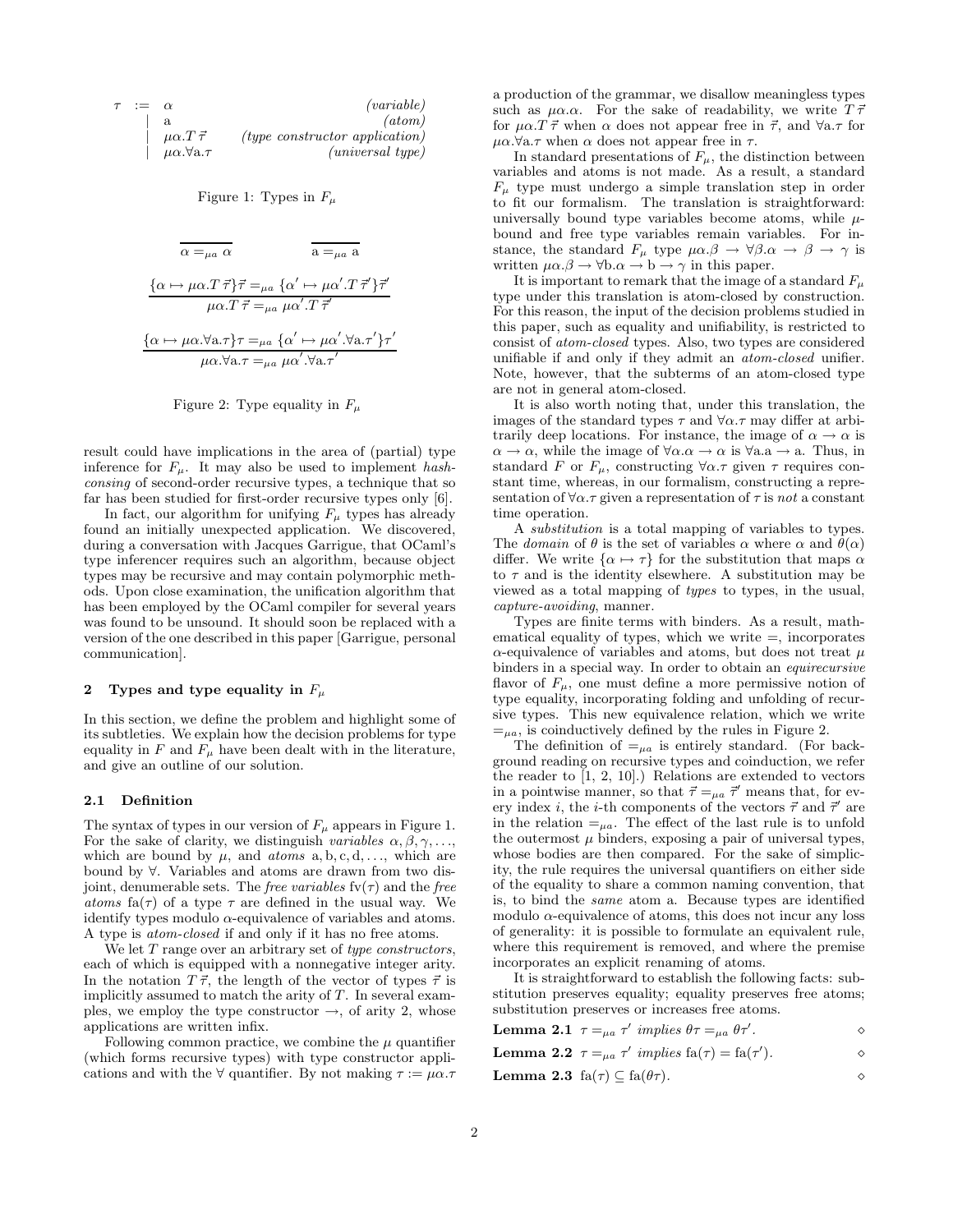| $\tau$ := |                               | (variable)                         |
|-----------|-------------------------------|------------------------------------|
|           |                               | (atom)                             |
|           | $\mu\alpha.T$ $\vec{\tau}$    | $(type\ constructor\ application)$ |
|           | $\mu\alpha.\forall$ a. $\tau$ | (universal type)                   |

Figure 1: Types in  $F_{\mu}$ 

$$
\overline{\alpha} =_{\mu a} \overline{\alpha} \qquad \overline{a} =_{\mu a} \overline{a}
$$

$$
\frac{\{\alpha \mapsto \mu \alpha \cdot T \ \overline{\tau}\} \overline{\tau} =_{\mu a} \{\alpha' \mapsto \mu \alpha' \cdot T \ \overline{\tau}'\} \overline{\tau}'}{\mu \alpha \cdot T \ \overline{\tau} =_{\mu a} \mu \alpha' \cdot T \ \overline{\tau}'}
$$

$$
\frac{\{\alpha \mapsto \mu \alpha \cdot \forall a \cdot \tau\} \tau =_{\mu a} \{\alpha' \mapsto \mu \alpha' \cdot \forall a \cdot \tau'\}}{\mu \alpha \cdot \forall a \cdot \tau =_{\mu a} \mu \alpha' \cdot \forall a \cdot \tau'}
$$

Figure 2: Type equality in  $F_\mu$ 

result could have implications in the area of (partial) type inference for  $F_{\mu}$ . It may also be used to implement hashconsing of second-order recursive types, a technique that so far has been studied for first-order recursive types only [6].

In fact, our algorithm for unifying  $F_{\mu}$  types has already found an initially unexpected application. We discovered, during a conversation with Jacques Garrigue, that OCaml's type inferencer requires such an algorithm, because object types may be recursive and may contain polymorphic methods. Upon close examination, the unification algorithm that has been employed by the OCaml compiler for several years was found to be unsound. It should soon be replaced with a version of the one described in this paper [Garrigue, personal communication].

## 2 Types and type equality in  $F_\mu$

In this section, we define the problem and highlight some of its subtleties. We explain how the decision problems for type equality in F and  $F_{\mu}$  have been dealt with in the literature, and give an outline of our solution.

#### 2.1 Definition

The syntax of types in our version of  $F_\mu$  appears in Figure 1. For the sake of clarity, we distinguish variables  $\alpha, \beta, \gamma, \ldots$ , which are bound by  $\mu$ , and *atoms* a, b, c, d, ..., which are bound by ∀. Variables and atoms are drawn from two disjoint, denumerable sets. The *free variables*  $f\nu(\tau)$  and the *free* atoms fa( $\tau$ ) of a type  $\tau$  are defined in the usual way. We identify types modulo  $\alpha$ -equivalence of variables and atoms. A type is atom-closed if and only if it has no free atoms.

We let  $T$  range over an arbitrary set of type constructors, each of which is equipped with a nonnegative integer arity. In the notation  $T \vec{\tau}$ , the length of the vector of types  $\vec{\tau}$  is implicitly assumed to match the arity of  $T$ . In several examples, we employ the type constructor  $\rightarrow$ , of arity 2, whose applications are written infix.

Following common practice, we combine the  $\mu$  quantifier (which forms recursive types) with type constructor applications and with the  $\forall$  quantifier. By not making  $\tau := \mu \alpha \tau$  a production of the grammar, we disallow meaningless types such as  $\mu \alpha \alpha$ . For the sake of readability, we write  $T \vec{\tau}$ for  $\mu \alpha. T \vec{\tau}$  when  $\alpha$  does not appear free in  $\vec{\tau}$ , and  $\forall a.\tau$  for  $\mu\alpha.\forall$ a.  $\tau$  when  $\alpha$  does not appear free in  $\tau$ .

In standard presentations of  $F_{\mu}$ , the distinction between variables and atoms is not made. As a result, a standard  $F_{\mu}$  type must undergo a simple translation step in order to fit our formalism. The translation is straightforward: universally bound type variables become atoms, while  $\mu$ bound and free type variables remain variables. For instance, the standard  $F_{\mu}$  type  $\mu\alpha.\beta \rightarrow \forall \beta.\alpha \rightarrow \beta \rightarrow \gamma$  is written  $\mu\alpha.\beta \rightarrow \forall b.\alpha \rightarrow b \rightarrow \gamma$  in this paper.

It is important to remark that the image of a standard  $F_{\mu}$ type under this translation is atom-closed by construction. For this reason, the input of the decision problems studied in this paper, such as equality and unifiability, is restricted to consist of atom-closed types. Also, two types are considered unifiable if and only if they admit an atom-closed unifier. Note, however, that the subterms of an atom-closed type are not in general atom-closed.

It is also worth noting that, under this translation, the images of the standard types  $\tau$  and  $\forall \alpha$ .  $\tau$  may differ at arbitrarily deep locations. For instance, the image of  $\alpha \to \alpha$  is  $\alpha \to \alpha$ , while the image of  $\forall \alpha \ldotp \alpha \to \alpha$  is  $\forall a \ldotp a \to a$ . Thus, in standard F or  $F_{\mu}$ , constructing  $\forall \alpha.\tau$  given  $\tau$  requires constant time, whereas, in our formalism, constructing a representation of  $\forall \alpha.\tau$  given a representation of  $\tau$  is not a constant time operation.

A substitution is a total mapping of variables to types. The domain of  $\theta$  is the set of variables  $\alpha$  where  $\alpha$  and  $\theta(\alpha)$ differ. We write  $\{\alpha \mapsto \tau\}$  for the substitution that maps  $\alpha$ to  $\tau$  and is the identity elsewhere. A substitution may be viewed as a total mapping of types to types, in the usual, capture-avoiding, manner.

Types are finite terms with binders. As a result, mathematical equality of types, which we write  $=$ , incorporates  $\alpha$ -equivalence of variables and atoms, but does not treat  $\mu$ binders in a special way. In order to obtain an equirecursive flavor of  $F_{\mu}$ , one must define a more permissive notion of type equality, incorporating folding and unfolding of recursive types. This new equivalence relation, which we write  $=$ <sub> $\mu$ a</sub>, is coinductively defined by the rules in Figure 2.

The definition of  $=_{\mu a}$  is entirely standard. (For background reading on recursive types and coinduction, we refer the reader to [1, 2, 10].) Relations are extended to vectors in a pointwise manner, so that  $\vec{\tau} =_{\mu a} \vec{\tau}'$  means that, for every index *i*, the *i*-th components of the vectors  $\vec{\tau}$  and  $\vec{\tau}'$  are in the relation  $=_{\mu a}$ . The effect of the last rule is to unfold the outermost  $\mu$  binders, exposing a pair of universal types, whose bodies are then compared. For the sake of simplicity, the rule requires the universal quantifiers on either side of the equality to share a common naming convention, that is, to bind the same atom a. Because types are identified modulo  $\alpha$ -equivalence of atoms, this does not incur any loss of generality: it is possible to formulate an equivalent rule, where this requirement is removed, and where the premise incorporates an explicit renaming of atoms.

It is straightforward to establish the following facts: substitution preserves equality; equality preserves free atoms; substitution preserves or increases free atoms.

| <b>Lemma 2.1</b> $\tau =_{\mu a} \tau'$ implies $\theta \tau =_{\mu a} \theta \tau'$ . | ◇ |
|----------------------------------------------------------------------------------------|---|
| <b>Lemma 2.2</b> $\tau =_{\mu a} \tau'$ implies $fa(\tau) = fa(\tau')$ .               | ◇ |
| <b>Lemma 2.3</b> fa( $\tau$ ) $\subseteq$ fa( $\theta\tau$ ).                          | ◇ |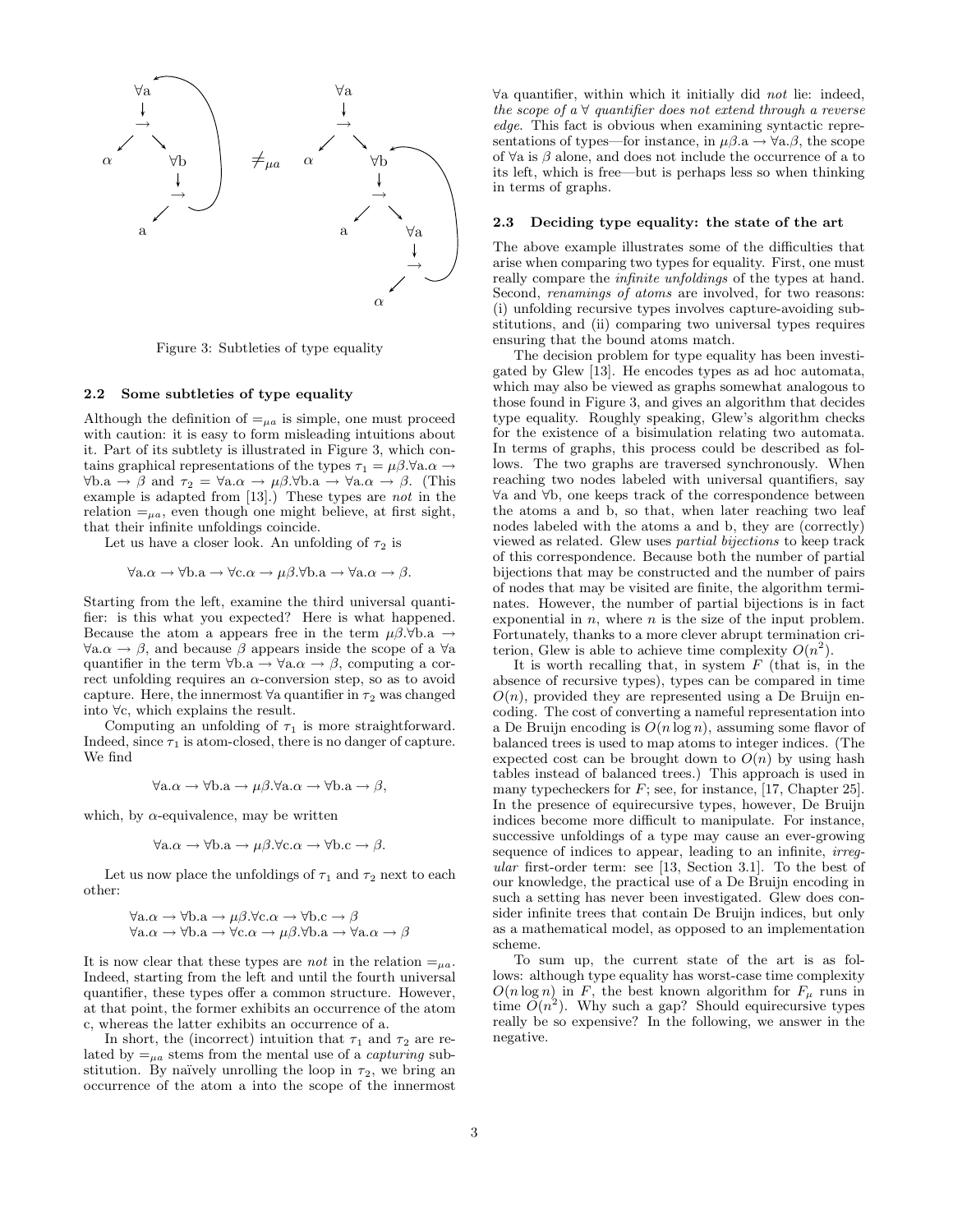

Figure 3: Subtleties of type equality

#### 2.2 Some subtleties of type equality

Although the definition of  $=_{\mu a}$  is simple, one must proceed with caution: it is easy to form misleading intuitions about it. Part of its subtlety is illustrated in Figure 3, which contains graphical representations of the types  $\tau_1 = \mu \beta \cdot \forall a.\alpha \rightarrow$  $\forall$ b.a  $\rightarrow \beta$  and  $\tau_2 = \forall$ a. $\alpha \rightarrow \mu \beta$ . $\forall$ b.a  $\rightarrow \forall$ a. $\alpha \rightarrow \beta$ . (This example is adapted from [13].) These types are not in the relation  $=_{\mu a}$ , even though one might believe, at first sight, that their infinite unfoldings coincide.

Let us have a closer look. An unfolding of  $\tau_2$  is

$$
\forall a.\alpha \to \forall b.a \to \forall c.\alpha \to \mu\beta. \forall b.a \to \forall a.\alpha \to \beta.
$$

Starting from the left, examine the third universal quantifier: is this what you expected? Here is what happened. Because the atom a appears free in the term  $\mu\beta.\forall b.a \rightarrow$  $\forall a.\alpha \rightarrow \beta$ , and because  $\beta$  appears inside the scope of a  $\forall a$ quantifier in the term  $\forall b.a \rightarrow \forall a.\alpha \rightarrow \beta$ , computing a correct unfolding requires an  $\alpha$ -conversion step, so as to avoid capture. Here, the innermost  $\forall$ a quantifier in  $\tau_2$  was changed into ∀c, which explains the result.

Computing an unfolding of  $\tau_1$  is more straightforward. Indeed, since  $\tau_1$  is atom-closed, there is no danger of capture. We find

$$
\forall \mathbf{a}.\alpha \to \forall \mathbf{b}.\mathbf{a} \to \mu \beta. \forall \mathbf{a}.\alpha \to \forall \mathbf{b}.\mathbf{a} \to \beta,
$$

which, by  $\alpha$ -equivalence, may be written

$$
\forall \mathbf{a}.\alpha \to \forall \mathbf{b}.\mathbf{a} \to \mu \beta. \forall \mathbf{c}.\alpha \to \forall \mathbf{b}.\mathbf{c} \to \beta.
$$

Let us now place the unfoldings of  $\tau_1$  and  $\tau_2$  next to each other:

$$
\forall a.\alpha \rightarrow \forall b.a \rightarrow \mu \beta. \forall c.\alpha \rightarrow \forall b.c \rightarrow \beta
$$
  

$$
\forall a.\alpha \rightarrow \forall b.a \rightarrow \forall c.\alpha \rightarrow \mu \beta. \forall b.a \rightarrow \forall a.\alpha \rightarrow \beta
$$

It is now clear that these types are *not* in the relation  $=_{\mu a}$ . Indeed, starting from the left and until the fourth universal quantifier, these types offer a common structure. However, at that point, the former exhibits an occurrence of the atom c, whereas the latter exhibits an occurrence of a.

In short, the (incorrect) intuition that  $\tau_1$  and  $\tau_2$  are related by  $=_{ua}$  stems from the mental use of a *capturing* substitution. By naïvely unrolling the loop in  $\tau_2$ , we bring an occurrence of the atom a into the scope of the innermost

 $\forall$ a quantifier, within which it initially did not lie: indeed, the scope of a  $\forall$  quantifier does not extend through a reverse edge. This fact is obvious when examining syntactic representations of types—for instance, in  $\mu\beta$ .a  $\rightarrow \forall$ a. $\beta$ , the scope of  $\forall a$  is  $\beta$  alone, and does not include the occurrence of a to its left, which is free—but is perhaps less so when thinking in terms of graphs.

## 2.3 Deciding type equality: the state of the art

The above example illustrates some of the difficulties that arise when comparing two types for equality. First, one must really compare the *infinite unfoldings* of the types at hand. Second, *renamings of atoms* are involved, for two reasons: (i) unfolding recursive types involves capture-avoiding substitutions, and (ii) comparing two universal types requires ensuring that the bound atoms match.

The decision problem for type equality has been investigated by Glew [13]. He encodes types as ad hoc automata, which may also be viewed as graphs somewhat analogous to those found in Figure 3, and gives an algorithm that decides type equality. Roughly speaking, Glew's algorithm checks for the existence of a bisimulation relating two automata. In terms of graphs, this process could be described as follows. The two graphs are traversed synchronously. When reaching two nodes labeled with universal quantifiers, say ∀a and ∀b, one keeps track of the correspondence between the atoms a and b, so that, when later reaching two leaf nodes labeled with the atoms a and b, they are (correctly) viewed as related. Glew uses partial bijections to keep track of this correspondence. Because both the number of partial bijections that may be constructed and the number of pairs of nodes that may be visited are finite, the algorithm terminates. However, the number of partial bijections is in fact exponential in  $n$ , where  $n$  is the size of the input problem. Fortunately, thanks to a more clever abrupt termination criterion, Glew is able to achieve time complexity  $O(n^2)$ .

It is worth recalling that, in system  $F$  (that is, in the absence of recursive types), types can be compared in time  $O(n)$ , provided they are represented using a De Bruijn encoding. The cost of converting a nameful representation into a De Bruijn encoding is  $O(n \log n)$ , assuming some flavor of balanced trees is used to map atoms to integer indices. (The expected cost can be brought down to  $O(n)$  by using hash tables instead of balanced trees.) This approach is used in many typecheckers for  $F$ ; see, for instance, [17, Chapter 25]. In the presence of equirecursive types, however, De Bruijn indices become more difficult to manipulate. For instance, successive unfoldings of a type may cause an ever-growing sequence of indices to appear, leading to an infinite, *irreg*ular first-order term: see [13, Section 3.1]. To the best of our knowledge, the practical use of a De Bruijn encoding in such a setting has never been investigated. Glew does consider infinite trees that contain De Bruijn indices, but only as a mathematical model, as opposed to an implementation scheme.

To sum up, the current state of the art is as follows: although type equality has worst-case time complexity  $O(n \log n)$  in F, the best known algorithm for  $F_{\mu}$  runs in time  $\tilde{O}(n^2)$ . Why such a gap? Should equirecursive types really be so expensive? In the following, we answer in the negative.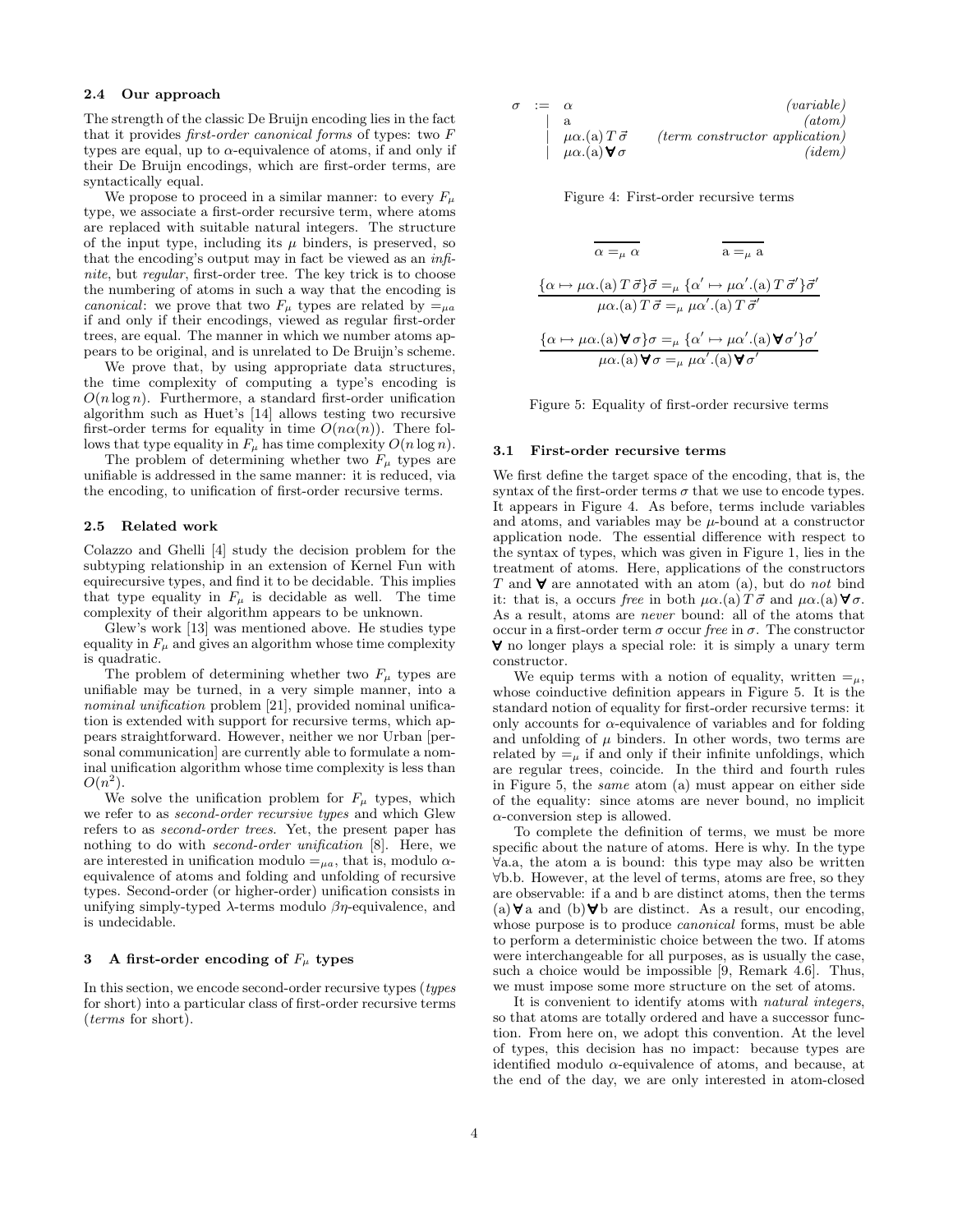## 2.4 Our approach

The strength of the classic De Bruijn encoding lies in the fact that it provides first-order canonical forms of types: two  $F$ types are equal, up to  $\alpha$ -equivalence of atoms, if and only if their De Bruijn encodings, which are first-order terms, are syntactically equal.

We propose to proceed in a similar manner: to every  $F_{\mu}$ type, we associate a first-order recursive term, where atoms are replaced with suitable natural integers. The structure of the input type, including its  $\mu$  binders, is preserved, so that the encoding's output may in fact be viewed as an infinite, but regular, first-order tree. The key trick is to choose the numbering of atoms in such a way that the encoding is canonical: we prove that two  $F_{\mu}$  types are related by  $=_{\mu}$ if and only if their encodings, viewed as regular first-order trees, are equal. The manner in which we number atoms appears to be original, and is unrelated to De Bruijn's scheme.

We prove that, by using appropriate data structures, the time complexity of computing a type's encoding is  $O(n \log n)$ . Furthermore, a standard first-order unification algorithm such as Huet's [14] allows testing two recursive first-order terms for equality in time  $O(n\alpha(n))$ . There follows that type equality in  $F_{\mu}$  has time complexity  $O(n \log n)$ .

The problem of determining whether two  $F_{\mu}$  types are unifiable is addressed in the same manner: it is reduced, via the encoding, to unification of first-order recursive terms.

#### 2.5 Related work

Colazzo and Ghelli [4] study the decision problem for the subtyping relationship in an extension of Kernel Fun with equirecursive types, and find it to be decidable. This implies that type equality in  $F_{\mu}$  is decidable as well. The time complexity of their algorithm appears to be unknown.

Glew's work [13] was mentioned above. He studies type equality in  $F_{\mu}$  and gives an algorithm whose time complexity is quadratic.

The problem of determining whether two  $F_{\mu}$  types are unifiable may be turned, in a very simple manner, into a nominal unification problem [21], provided nominal unification is extended with support for recursive terms, which appears straightforward. However, neither we nor Urban [personal communication] are currently able to formulate a nominal unification algorithm whose time complexity is less than  $O(n^2)$ .

We solve the unification problem for  $F_{\mu}$  types, which we refer to as second-order recursive types and which Glew refers to as second-order trees. Yet, the present paper has nothing to do with second-order unification [8]. Here, we are interested in unification modulo  $=_{\mu a}$ , that is, modulo  $\alpha$ equivalence of atoms and folding and unfolding of recursive types. Second-order (or higher-order) unification consists in unifying simply-typed  $\lambda$ -terms modulo  $\beta\eta$ -equivalence, and is undecidable.

## 3 A first-order encoding of  $F_\mu$  types

In this section, we encode second-order recursive types (types for short) into a particular class of first-order recursive terms (terms for short).

| $\sigma$ | $:= \alpha$ |                                   | (variable)                     |
|----------|-------------|-----------------------------------|--------------------------------|
|          |             | a.                                | (atom)                         |
|          |             | $\mu\alpha$ .(a) T $\vec{\sigma}$ | (term constructor application) |
|          |             | $\mu\alpha$ .(a) $\forall \sigma$ | (idem)                         |

Figure 4: First-order recursive terms

$$
\overline{\alpha} =_{\mu} \overline{\alpha} \qquad \overline{a} =_{\mu} \overline{a}
$$

$$
\{\alpha \mapsto \mu \alpha.(\text{a}) \, T \, \vec{\sigma}\} \vec{\sigma} =_{\mu} \{\alpha' \mapsto \mu \alpha'.(\text{a}) \, T \, \vec{\sigma}'\} \vec{\sigma}'
$$

$$
\mu \alpha.(\text{a}) \, T \, \vec{\sigma} =_{\mu} \mu \alpha'.(\text{a}) \, T \, \vec{\sigma}'
$$

$$
\{\alpha \mapsto \mu \alpha.(\text{a}) \mathbf{V} \sigma\} \sigma =_{\mu} \{\alpha' \mapsto \mu \alpha'.(\text{a}) \mathbf{V} \sigma'\} \sigma'
$$

$$
\mu \alpha.(\text{a}) \mathbf{V} \sigma =_{\mu} \mu \alpha'.(\text{a}) \mathbf{V} \sigma'
$$

Figure 5: Equality of first-order recursive terms

#### 3.1 First-order recursive terms

We first define the target space of the encoding, that is, the syntax of the first-order terms  $\sigma$  that we use to encode types. It appears in Figure 4. As before, terms include variables and atoms, and variables may be  $\mu$ -bound at a constructor application node. The essential difference with respect to the syntax of types, which was given in Figure 1, lies in the treatment of atoms. Here, applications of the constructors T and  $\forall$  are annotated with an atom (a), but do not bind it: that is, a occurs free in both  $\mu\alpha$ .(a)  $T \vec{\sigma}$  and  $\mu\alpha$ .(a)  $\forall \sigma$ . As a result, atoms are never bound: all of the atoms that occur in a first-order term  $\sigma$  occur free in  $\sigma$ . The constructor  $\forall$  no longer plays a special role: it is simply a unary term constructor.

We equip terms with a notion of equality, written  $=_{\mu}$ , whose coinductive definition appears in Figure 5. It is the standard notion of equality for first-order recursive terms: it only accounts for  $\alpha$ -equivalence of variables and for folding and unfolding of  $\mu$  binders. In other words, two terms are related by  $=$ <sub> $\mu$ </sub> if and only if their infinite unfoldings, which are regular trees, coincide. In the third and fourth rules in Figure 5, the same atom (a) must appear on either side of the equality: since atoms are never bound, no implicit  $\alpha$ -conversion step is allowed.

To complete the definition of terms, we must be more specific about the nature of atoms. Here is why. In the type ∀a.a, the atom a is bound: this type may also be written ∀b.b. However, at the level of terms, atoms are free, so they are observable: if a and b are distinct atoms, then the terms (a)  $\forall$  a and (b)  $\forall$  b are distinct. As a result, our encoding, whose purpose is to produce *canonical* forms, must be able to perform a deterministic choice between the two. If atoms were interchangeable for all purposes, as is usually the case, such a choice would be impossible [9, Remark 4.6]. Thus, we must impose some more structure on the set of atoms.

It is convenient to identify atoms with natural integers, so that atoms are totally ordered and have a successor function. From here on, we adopt this convention. At the level of types, this decision has no impact: because types are identified modulo  $\alpha$ -equivalence of atoms, and because, at the end of the day, we are only interested in atom-closed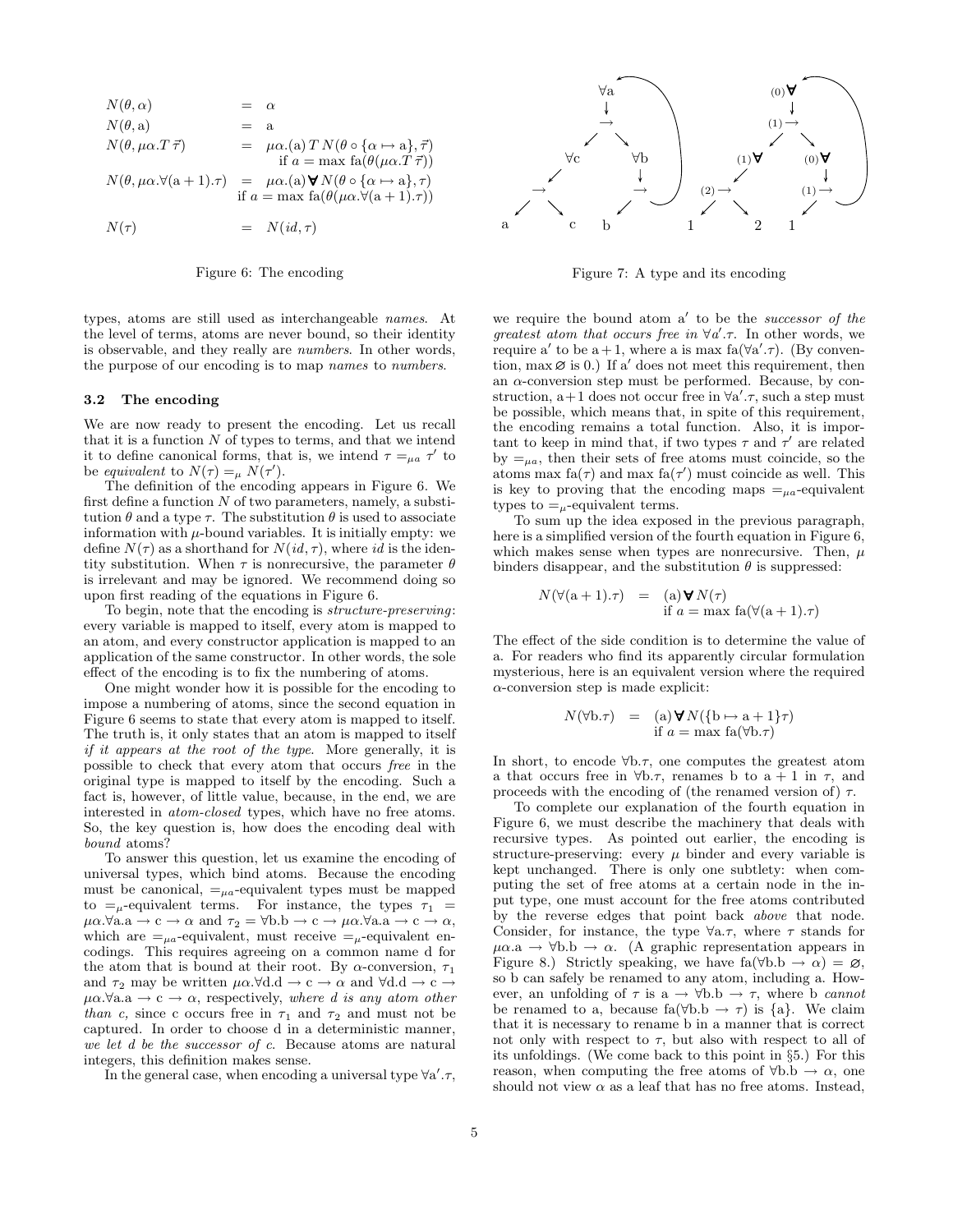$$
N(\theta, \alpha) = \alpha
$$
  
\n
$$
N(\theta, \alpha) = \mathbf{a}
$$
  
\n
$$
N(\theta, \mu \alpha \cdot T \vec{\tau}) = \mu \alpha.(\mathbf{a}) T N(\theta \circ {\alpha \mapsto \mathbf{a}}, \vec{\tau})
$$
  
\nif  $a = \max \mathbf{a} (\theta(\mu \alpha \cdot T \vec{\tau}))$   
\n
$$
N(\theta, \mu \alpha \cdot \forall (\mathbf{a} + 1) \cdot \tau) = \mu \alpha.(\mathbf{a}) \mathbf{V} N(\theta \circ {\alpha \mapsto \mathbf{a}}, \tau)
$$
  
\nif  $a = \max \mathbf{a} (\theta(\mu \alpha \cdot \forall (\mathbf{a} + 1) \cdot \tau))$   
\n
$$
N(\tau) = N(id, \tau)
$$



types, atoms are still used as interchangeable names. At the level of terms, atoms are never bound, so their identity is observable, and they really are numbers. In other words, the purpose of our encoding is to map names to numbers.

#### 3.2 The encoding

We are now ready to present the encoding. Let us recall that it is a function  $N$  of types to terms, and that we intend it to define canonical forms, that is, we intend  $\tau =_{\mu} \tau'$  to be equivalent to  $N(\tau) =_{\mu} N(\tau')$ .

The definition of the encoding appears in Figure 6. We first define a function  $N$  of two parameters, namely, a substitution  $\theta$  and a type  $\tau$ . The substitution  $\theta$  is used to associate information with  $\mu$ -bound variables. It is initially empty: we define  $N(\tau)$  as a shorthand for  $N(id, \tau)$ , where id is the identity substitution. When  $\tau$  is nonrecursive, the parameter  $\theta$ is irrelevant and may be ignored. We recommend doing so upon first reading of the equations in Figure 6.

To begin, note that the encoding is structure-preserving: every variable is mapped to itself, every atom is mapped to an atom, and every constructor application is mapped to an application of the same constructor. In other words, the sole effect of the encoding is to fix the numbering of atoms.

One might wonder how it is possible for the encoding to impose a numbering of atoms, since the second equation in Figure 6 seems to state that every atom is mapped to itself. The truth is, it only states that an atom is mapped to itself if it appears at the root of the type. More generally, it is possible to check that every atom that occurs free in the original type is mapped to itself by the encoding. Such a fact is, however, of little value, because, in the end, we are interested in atom-closed types, which have no free atoms. So, the key question is, how does the encoding deal with bound atoms?

To answer this question, let us examine the encoding of universal types, which bind atoms. Because the encoding must be canonical,  $=_{\mu}a$ -equivalent types must be mapped to  $=$ <sub>μ</sub>-equivalent terms. For instance, the types  $\tau_1$  =  $\mu\alpha.\forall a.a \rightarrow c \rightarrow \alpha \text{ and } \tau_2 = \forall b.b \rightarrow c \rightarrow \mu\alpha.\forall a.a \rightarrow c \rightarrow \alpha,$ which are  $=_{\mu a}$ -equivalent, must receive  $=_{\mu}$ -equivalent encodings. This requires agreeing on a common name d for the atom that is bound at their root. By  $\alpha$ -conversion,  $\tau_1$ and  $\tau_2$  may be written  $\mu\alpha.\forall d.d \to c \to \alpha$  and  $\forall d.d \to c \to$  $\mu\alpha.\forall a.a \rightarrow c \rightarrow \alpha$ , respectively, where d is any atom other than c, since c occurs free in  $\tau_1$  and  $\tau_2$  and must not be captured. In order to choose d in a deterministic manner, we let d be the successor of c. Because atoms are natural integers, this definition makes sense.

In the general case, when encoding a universal type  $\forall a'.\tau$ ,



Figure 7: A type and its encoding

we require the bound atom a' to be the *successor* of the greatest atom that occurs free in  $\forall a'.\tau$ . In other words, we require a' to be  $a+1$ , where a is max  $fa(\forall a'.\tau)$ . (By convention, max  $\varnothing$  is 0.) If a' does not meet this requirement, then an  $\alpha$ -conversion step must be performed. Because, by construction,  $a+1$  does not occur free in  $\forall a'.\tau$ , such a step must be possible, which means that, in spite of this requirement, the encoding remains a total function. Also, it is important to keep in mind that, if two types  $\tau$  and  $\tau'$  are related by  $=_{\mu a}$ , then their sets of free atoms must coincide, so the atoms max fa( $\tau$ ) and max fa( $\tau'$ ) must coincide as well. This is key to proving that the encoding maps  $=_{\mu a}$ -equivalent types to  $=$ <sub>u</sub>-equivalent terms.

To sum up the idea exposed in the previous paragraph, here is a simplified version of the fourth equation in Figure 6, which makes sense when types are nonrecursive. Then,  $\mu$ binders disappear, and the substitution  $\theta$  is suppressed:

$$
N(\forall (a+1) . \tau) = (a) \mathbf{\nabla} N(\tau)
$$
  
if  $a = \max \text{ fa}(\forall (a+1) . \tau)$ 

The effect of the side condition is to determine the value of a. For readers who find its apparently circular formulation mysterious, here is an equivalent version where the required  $\alpha$ -conversion step is made explicit:

$$
N(\forall b.\tau) = (a) \forall N(\{b \mapsto a+1\}\tau)
$$
  
if  $a = \max f_a(\forall b.\tau)$ 

In short, to encode  $\forall b.\tau$ , one computes the greatest atom a that occurs free in  $\forall b.\tau$ , renames b to  $a + 1$  in  $\tau$ , and proceeds with the encoding of (the renamed version of)  $\tau$ .

To complete our explanation of the fourth equation in Figure 6, we must describe the machinery that deals with recursive types. As pointed out earlier, the encoding is structure-preserving: every  $\mu$  binder and every variable is kept unchanged. There is only one subtlety: when computing the set of free atoms at a certain node in the input type, one must account for the free atoms contributed by the reverse edges that point back above that node. Consider, for instance, the type  $\forall a.\tau$ , where  $\tau$  stands for  $\mu\alpha$ .a  $\rightarrow \forall b.b \rightarrow \alpha$ . (A graphic representation appears in Figure 8.) Strictly speaking, we have fa( $\forall b.b \rightarrow \alpha$ ) =  $\varnothing$ , so b can safely be renamed to any atom, including a. However, an unfolding of  $\tau$  is a  $\rightarrow \forall b.b \rightarrow \tau$ , where b cannot be renamed to a, because fa( $\forall b.b \rightarrow \tau$ ) is  $\{a\}$ . We claim that it is necessary to rename b in a manner that is correct not only with respect to  $\tau$ , but also with respect to all of its unfoldings. (We come back to this point in §5.) For this reason, when computing the free atoms of  $\forall b.b \rightarrow \alpha$ , one should not view  $\alpha$  as a leaf that has no free atoms. Instead,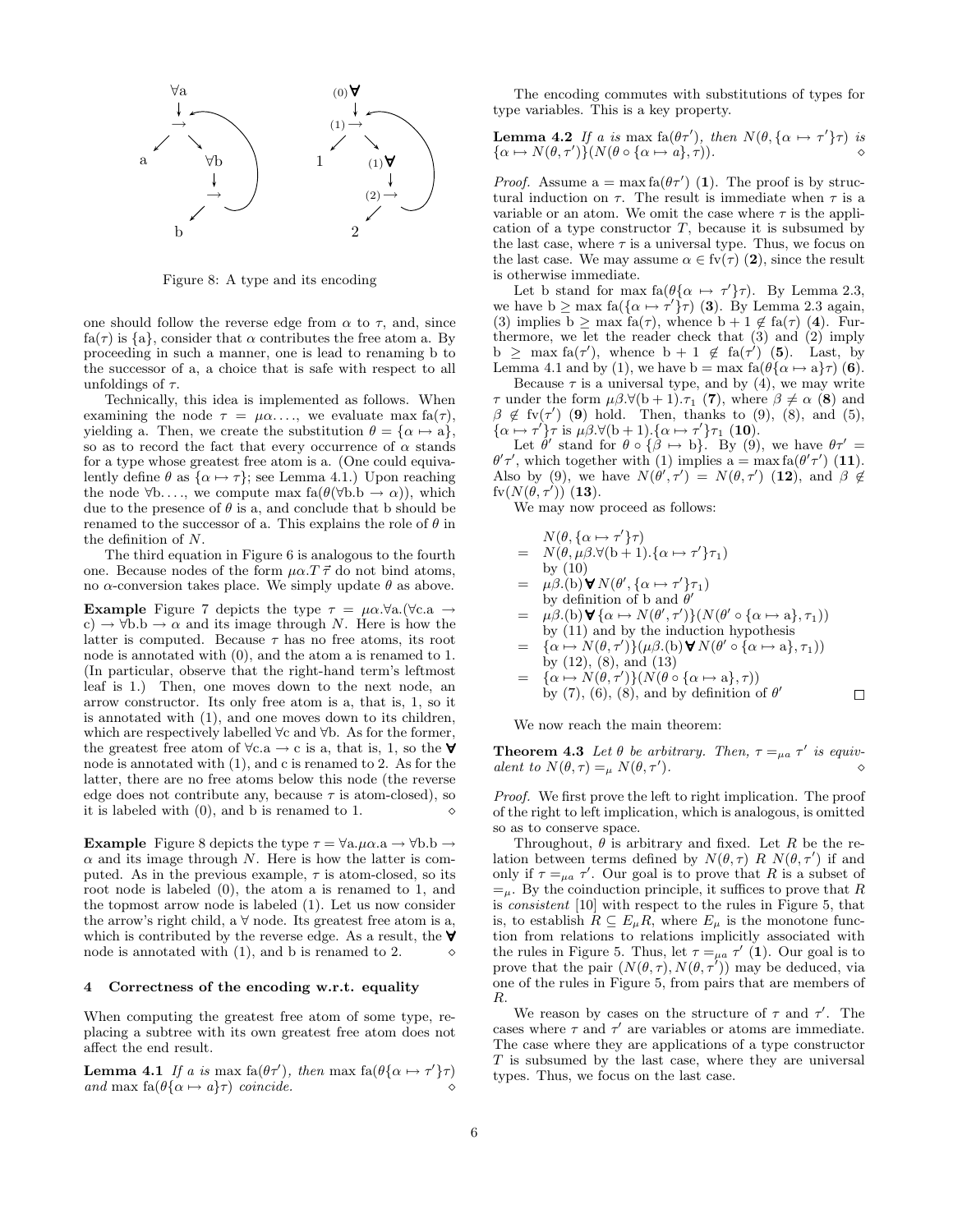

Figure 8: A type and its encoding

one should follow the reverse edge from  $\alpha$  to  $\tau$ , and, since  $fa(\tau)$  is  $\{a\}$ , consider that  $\alpha$  contributes the free atom a. By proceeding in such a manner, one is lead to renaming b to the successor of a, a choice that is safe with respect to all unfoldings of  $\tau$ .

Technically, this idea is implemented as follows. When examining the node  $\tau = \mu \alpha$ ..., we evaluate max fa( $\tau$ ), yielding a. Then, we create the substitution  $\theta = {\alpha \mapsto \alpha}$ , so as to record the fact that every occurrence of  $\alpha$  stands for a type whose greatest free atom is a. (One could equivalently define  $\theta$  as  $\{\alpha \mapsto \tau\}$ ; see Lemma 4.1.) Upon reaching the node  $\forall b$ ..., we compute max fa( $\theta(\forall b.b \rightarrow \alpha)$ ), which due to the presence of  $\theta$  is a, and conclude that b should be renamed to the successor of a. This explains the role of  $\theta$  in the definition of N.

The third equation in Figure 6 is analogous to the fourth one. Because nodes of the form  $\mu \alpha$ . T  $\vec{\tau}$  do not bind atoms, no  $\alpha$ -conversion takes place. We simply update θ as above.

Example Figure 7 depicts the type  $\tau = \mu \alpha \cdot \forall a. (\forall c.a \rightarrow \theta$ c)  $\rightarrow \forall b.b \rightarrow \alpha$  and its image through N. Here is how the latter is computed. Because  $\tau$  has no free atoms, its root node is annotated with (0), and the atom a is renamed to 1. (In particular, observe that the right-hand term's leftmost leaf is 1.) Then, one moves down to the next node, an arrow constructor. Its only free atom is a, that is, 1, so it is annotated with (1), and one moves down to its children, which are respectively labelled ∀c and ∀b. As for the former, the greatest free atom of  $\forall c.a \rightarrow c$  is a, that is, 1, so the  $\forall$ node is annotated with (1), and c is renamed to 2. As for the latter, there are no free atoms below this node (the reverse edge does not contribute any, because  $\tau$  is atom-closed), so it is labeled with  $(0)$ , and b is renamed to 1.

**Example** Figure 8 depicts the type  $\tau = \forall a.\mu\alpha.a \rightarrow \forall b.b \rightarrow \exists b.\nu$  $\alpha$  and its image through N. Here is how the latter is computed. As in the previous example,  $\tau$  is atom-closed, so its root node is labeled (0), the atom a is renamed to 1, and the topmost arrow node is labeled (1). Let us now consider the arrow's right child, a  $\forall$  node. Its greatest free atom is a, which is contributed by the reverse edge. As a result, the  $\forall$ node is annotated with  $(1)$ , and b is renamed to 2.  $\Diamond$ 

#### 4 Correctness of the encoding w.r.t. equality

When computing the greatest free atom of some type, replacing a subtree with its own greatest free atom does not affect the end result.

**Lemma 4.1** If a is max fa( $\theta \tau'$ ), then max fa( $\theta \{ \alpha \mapsto \tau' \} \tau$ ) and max fa( $\theta\{\alpha \mapsto a\}\tau$ ) coincide.  $\diamond$ 

The encoding commutes with substitutions of types for type variables. This is a key property.

**Lemma 4.2** If a is max fa( $\theta\tau'$ ), then  $N(\theta, {\alpha \mapsto \tau' } \tau)$  is  ${\alpha \mapsto N(\theta, \tau')}(N(\theta \circ {\alpha \mapsto \alpha} , \tau))$ .

*Proof.* Assume  $a = max fa(\theta \tau')$  (1). The proof is by structural induction on  $\tau$ . The result is immediate when  $\tau$  is a variable or an atom. We omit the case where  $\tau$  is the application of a type constructor  $T$ , because it is subsumed by the last case, where  $\tau$  is a universal type. Thus, we focus on the last case. We may assume  $\alpha \in \text{fv}(\tau)$  (2), since the result is otherwise immediate.

Let b stand for max  $\text{fa}(\theta \{ \alpha \mapsto \tau' \} \tau)$ . By Lemma 2.3, we have  $b \ge \max f_a(\{\alpha \mapsto \tau'\}\tau)$  (3). By Lemma 2.3 again, (3) implies  $b \ge \max f_a(\tau)$ , whence  $b + 1 \notin f_a(\tau)$  (4). Furthermore, we let the reader check that (3) and (2) imply  $b \geq \max f_a(\tau')$ , whence  $b + 1 \notin f_a(\tau')$  (5). Last, by Lemma 4.1 and by (1), we have  $b = \max f_a(\theta {\alpha \mapsto a} \tau)$  (6).

Because  $\tau$  is a universal type, and by (4), we may write  $\tau$  under the form  $\mu\beta \cdot \forall (b+1)\cdot \tau_1$  (7), where  $\beta \neq \alpha$  (8) and  $\beta \notin$  fv( $\tau'$ ) (9) hold. Then, thanks to (9), (8), and (5),  $\{\alpha \mapsto \tau'\}\tau$  is  $\mu\beta.\forall (b+1).\{\alpha \mapsto \tau'\}\tau_1$  (10).

Let  $\theta'$  stand for  $\theta \circ {\beta \mapsto b}$ . By (9), we have  $\theta \tau' =$  $\theta' \tau'$ , which together with (1) implies  $a = \max f_a(\theta' \tau')$  (11). Also by (9), we have  $N(\dot{\theta}', \tau') = N(\theta, \tau')$  (12), and  $\beta \notin$  $\mathrm{fv}(N(\theta,\tau'))^{'}(13).$ 

We may now proceed as follows:

$$
N(\theta, {\alpha \mapsto \tau'}\tau)
$$
  
=  $N(\theta, \mu\beta \cdot V(b+1), {\alpha \mapsto \tau'}\tau_1)$   
by (10)  
=  $\mu\beta$ . (b)  $\forall N(\theta', {\alpha \mapsto \tau'}\tau_1)$   
by definition of b and  $\theta'$   
=  $\mu\beta$ . (b)  $\forall {\alpha \mapsto N(\theta', \tau')} (N(\theta' \circ {\alpha \mapsto a}, \tau_1))$   
by (11) and by the induction hypothesis  
=  ${\alpha \mapsto N(\theta, \tau')}(\mu\beta$ . (b)  $\forall N(\theta' \circ {\alpha \mapsto a}, \tau_1)$ )  
by (12), (8), and (13)  
=  ${\alpha \mapsto N(\theta, \tau')} (N(\theta \circ {\alpha \mapsto a}, \tau))$   
by (7), (6), (8), and by definition of  $\theta'$ 

We now reach the main theorem:

**Theorem 4.3** Let  $\theta$  be arbitrary. Then,  $\tau =_{\mu} \tau'$  is equivalent to  $N(\theta, \tau) =_{\mu} N(\theta, \tau')$ .

Proof. We first prove the left to right implication. The proof of the right to left implication, which is analogous, is omitted so as to conserve space.

Throughout,  $\theta$  is arbitrary and fixed. Let R be the relation between terms defined by  $N(\theta, \tau)$  R  $N(\theta, \tau')$  if and only if  $\tau =_{\mu a} \tau'$ . Our goal is to prove that R is a subset of  $=$ <sub>µ</sub>. By the coinduction principle, it suffices to prove that R is consistent [10] with respect to the rules in Figure 5, that is, to establish  $R \subseteq E_{\mu}R$ , where  $E_{\mu}$  is the monotone function from relations to relations implicitly associated with the rules in Figure 5. Thus, let  $\tau =_{\mu a} \tau'$  (1). Our goal is to prove that the pair  $(N(\theta, \tau), N(\theta, \tau'))$  may be deduced, via one of the rules in Figure 5, from pairs that are members of R.

We reason by cases on the structure of  $\tau$  and  $\tau'$ . The cases where  $\tau$  and  $\tau'$  are variables or atoms are immediate. The case where they are applications of a type constructor  $T$  is subsumed by the last case, where they are universal types. Thus, we focus on the last case.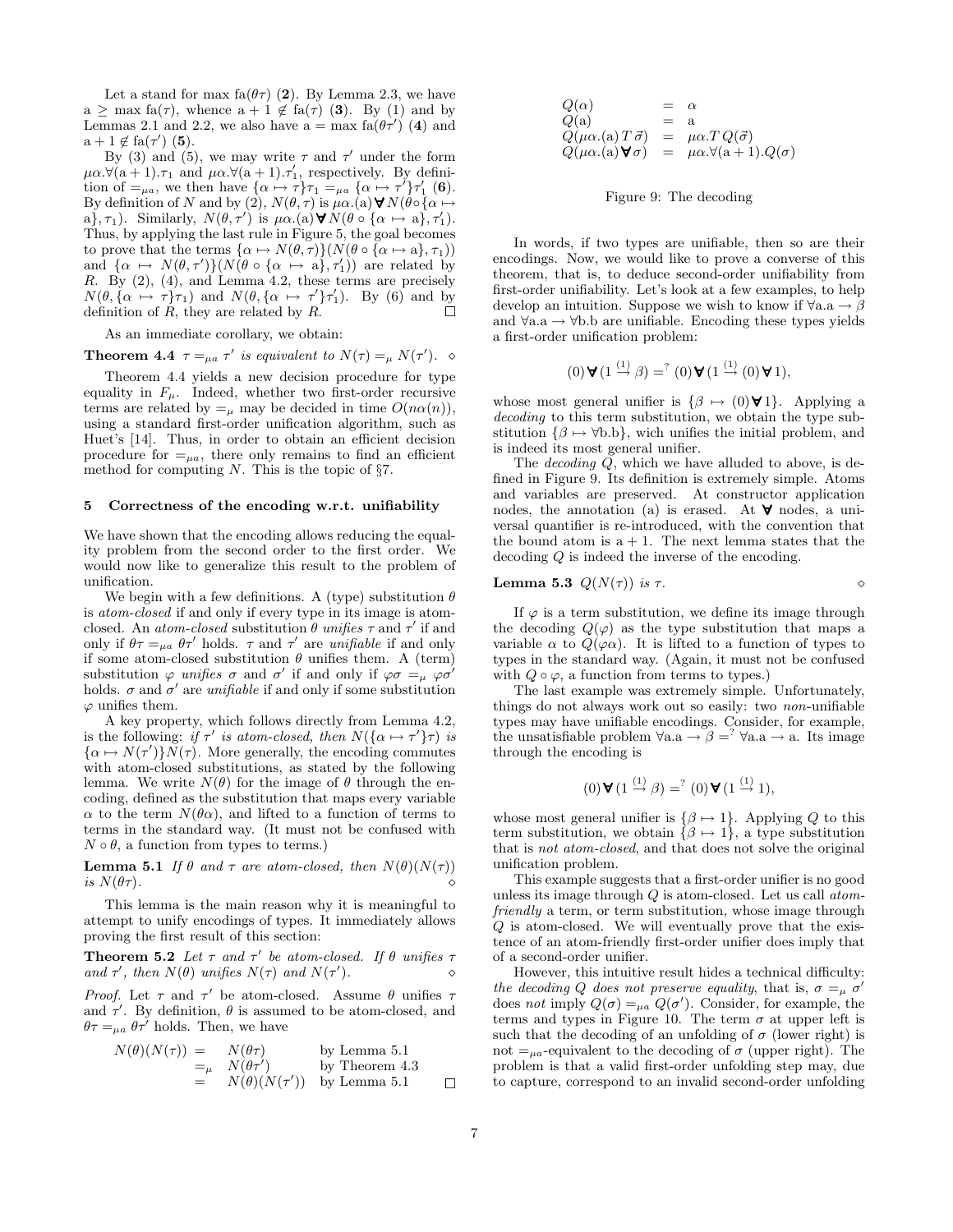Let a stand for max fa( $\theta \tau$ ) (2). By Lemma 2.3, we have  $a \geq \max f_a(\tau)$ , whence  $a + 1 \notin fa(\tau)$  (3). By (1) and by Lemmas 2.1 and 2.2, we also have  $a = max$   $fa(\theta r')$  (4) and  $a + 1 \notin fa(\tau')$  (5).

By (3) and (5), we may write  $\tau$  and  $\tau'$  under the form  $\mu\alpha.\forall(\alpha+1).\tau_1$  and  $\mu\alpha.\forall(\alpha+1).\tau'_1$ , respectively. By definition of  $=_{\mu a}$ , we then have  $\{\alpha \mapsto \tau\} \tau_1 =_{\mu a} \{\alpha \mapsto \tau'\} \tau'_1$  (6). By definition of N and by (2),  $N(\theta, \tau)$  is  $\mu\alpha$ .(a)  $\forall N(\theta \circ {\alpha \mapsto \alpha})$ a},  $\tau_1$ ). Similarly,  $N(\theta, \tau')$  is  $\mu\alpha$ .(a)  $\nabla N(\theta \circ {\alpha \mapsto \alpha}$ ,  $\tau'_1$ ). Thus, by applying the last rule in Figure 5, the goal becomes to prove that the terms  $\{\alpha \mapsto N(\theta, \tau)\}(N(\theta \circ {\alpha \mapsto \alpha}, \tau_1))$ and  $\{\alpha \mapsto N(\theta, \tau')\}(N(\theta \circ {\alpha \mapsto \alpha}, \tau'_1))$  are related by R. By (2), (4), and Lemma 4.2, these terms are precisely  $N(\theta, {\alpha \mapsto \tau} \tau_1)$  and  $N(\theta, {\alpha \mapsto \tau'} \tau_1')$ . By (6) and by definition of R, they are related by R.

As an immediate corollary, we obtain:

**Theorem 4.4**  $\tau =_{\mu a} \tau'$  is equivalent to  $N(\tau) =_{\mu} N(\tau')$ .  $\diamond$ 

Theorem 4.4 yields a new decision procedure for type equality in  $F_{\mu}$ . Indeed, whether two first-order recursive terms are related by  $=_{\mu}$  may be decided in time  $O(n\alpha(n)),$ using a standard first-order unification algorithm, such as Huet's [14]. Thus, in order to obtain an efficient decision procedure for  $=_{\mu a}$ , there only remains to find an efficient method for computing N. This is the topic of  $\S7$ .

## 5 Correctness of the encoding w.r.t. unifiability

We have shown that the encoding allows reducing the equality problem from the second order to the first order. We would now like to generalize this result to the problem of unification.

We begin with a few definitions. A (type) substitution  $\theta$ is atom-closed if and only if every type in its image is atomclosed. An atom-closed substitution  $\theta$  unifies  $\tau$  and  $\tau'$  if and only if  $\theta \tau =_{\mu a} \theta \tau'$  holds.  $\tau$  and  $\tau'$  are unifiable if and only if some atom-closed substitution  $\theta$  unifies them. A (term) substitution  $\varphi$  unifies  $\sigma$  and  $\sigma'$  if and only if  $\varphi \sigma =_{\mu} \varphi \sigma'$ holds.  $\sigma$  and  $\sigma'$  are *unifiable* if and only if some substitution  $\varphi$  unifies them.

A key property, which follows directly from Lemma 4.2, is the following: if  $\tau'$  is atom-closed, then  $N(\{\alpha \mapsto \tau'\}\tau)$  is  $\{\alpha \mapsto N(\tau')\}\overline{N(\tau)}$ . More generally, the encoding commutes with atom-closed substitutions, as stated by the following lemma. We write  $N(\theta)$  for the image of  $\theta$  through the encoding, defined as the substitution that maps every variable  $\alpha$  to the term  $N(\theta \alpha)$ , and lifted to a function of terms to terms in the standard way. (It must not be confused with  $N \circ \theta$ , a function from types to terms.)

**Lemma 5.1** If  $\theta$  and  $\tau$  are atom-closed, then  $N(\theta)(N(\tau))$ is  $N(\theta\tau)$ .

This lemma is the main reason why it is meaningful to attempt to unify encodings of types. It immediately allows proving the first result of this section:

**Theorem 5.2** Let  $\tau$  and  $\tau'$  be atom-closed. If  $\theta$  unifies  $\tau$ and  $\tau'$ , then  $N(\theta)$  unifies  $N(\tau)$  and  $N(\tau')$ ).  $\Diamond$ 

*Proof.* Let  $\tau$  and  $\tau'$  be atom-closed. Assume  $\theta$  unifies  $\tau$ and  $\tau'$ . By definition,  $\theta$  is assumed to be atom-closed, and  $\theta \tau =_{\mu a} \theta \tau'$  holds. Then, we have

$$
N(\theta)(N(\tau)) = N(\theta \tau)
$$
 by Lemma 5.1  
=  $\mu$   $N(\theta \tau')$  by Theorem 4.3  
=  $N(\theta)(N(\tau'))$  by Lemma 5.1  $\square$ 

$$
Q(\alpha) = \alpha
$$
  
\n
$$
Q(\alpha) = \alpha
$$
  
\n
$$
Q(\mu\alpha.(\text{a})T\vec{\sigma}) = \mu\alpha.T Q(\vec{\sigma})
$$
  
\n
$$
Q(\mu\alpha.(\text{a})\blacktriangledown\sigma) = \mu\alpha.\forall(\text{a}+1).Q(\sigma)
$$

## Figure 9: The decoding

In words, if two types are unifiable, then so are their encodings. Now, we would like to prove a converse of this theorem, that is, to deduce second-order unifiability from first-order unifiability. Let's look at a few examples, to help develop an intuition. Suppose we wish to know if  $\forall a.a \rightarrow \beta$ and  $\forall$ a.a  $\rightarrow \forall$ b.b are unifiable. Encoding these types yields a first-order unification problem:

$$
(0)\mathbf{\nabla}(1 \stackrel{(1)}{\rightarrow} \beta) =^? (0)\mathbf{\nabla}(1 \stackrel{(1)}{\rightarrow} (0)\mathbf{\nabla}1),
$$

whose most general unifier is  $\{\beta \mapsto (0) \mathbf{V} \mathbf{1}\}\$ . Applying a decoding to this term substitution, we obtain the type substitution  $\{\beta \mapsto \forall b.b\}$ , wich unifies the initial problem, and is indeed its most general unifier.

The *decoding Q*, which we have alluded to above, is defined in Figure 9. Its definition is extremely simple. Atoms and variables are preserved. At constructor application nodes, the annotation (a) is erased. At  $\forall$  nodes, a universal quantifier is re-introduced, with the convention that the bound atom is  $a + 1$ . The next lemma states that the decoding Q is indeed the inverse of the encoding.

**Lemma 5.3** 
$$
Q(N(\tau))
$$
 is  $\tau$ .

If  $\varphi$  is a term substitution, we define its image through the decoding  $Q(\varphi)$  as the type substitution that maps a variable  $\alpha$  to  $Q(\varphi\alpha)$ . It is lifted to a function of types to types in the standard way. (Again, it must not be confused with  $Q \circ \varphi$ , a function from terms to types.)

The last example was extremely simple. Unfortunately, things do not always work out so easily: two non-unifiable types may have unifiable encodings. Consider, for example, the unsatisfiable problem  $\forall a \cdot a \rightarrow \beta =^? \forall a \cdot a \rightarrow a$ . Its image through the encoding is

$$
(0) \mathbf{V} (1 \xrightarrow{(1)} \beta) =^? (0) \mathbf{V} (1 \xrightarrow{(1)} 1),
$$

whose most general unifier is  $\{\beta \mapsto 1\}$ . Applying Q to this term substitution, we obtain  $\{\beta \mapsto 1\}$ , a type substitution that is not atom-closed, and that does not solve the original unification problem.

This example suggests that a first-order unifier is no good unless its image through  $Q$  is atom-closed. Let us call *atom*friendly a term, or term substitution, whose image through Q is atom-closed. We will eventually prove that the existence of an atom-friendly first-order unifier does imply that of a second-order unifier.

However, this intuitive result hides a technical difficulty: the decoding Q does not preserve equality, that is,  $\sigma = \mu \sigma'$ does not imply  $Q(\sigma) =_{\mu a} Q(\sigma')$ . Consider, for example, the terms and types in Figure 10. The term  $\sigma$  at upper left is such that the decoding of an unfolding of  $\sigma$  (lower right) is not  $=_{\mu a}$ -equivalent to the decoding of  $\sigma$  (upper right). The problem is that a valid first-order unfolding step may, due to capture, correspond to an invalid second-order unfolding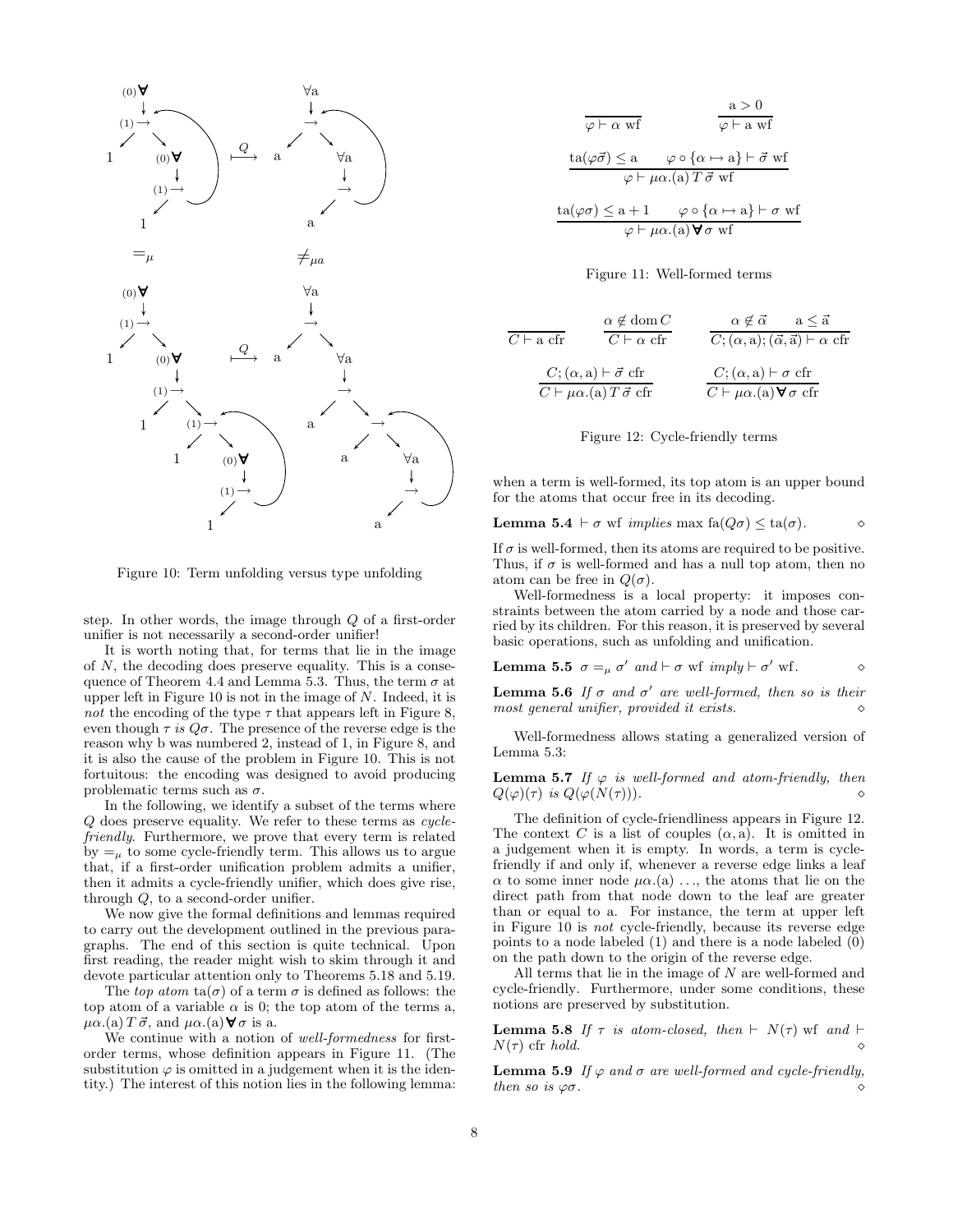

Figure 10: Term unfolding versus type unfolding

step. In other words, the image through Q of a first-order unifier is not necessarily a second-order unifier!

It is worth noting that, for terms that lie in the image of  $N$ , the decoding does preserve equality. This is a consequence of Theorem 4.4 and Lemma 5.3. Thus, the term  $\sigma$  at upper left in Figure 10 is not in the image of  $N$ . Indeed, it is not the encoding of the type  $\tau$  that appears left in Figure 8, even though  $\tau$  is  $Q\sigma$ . The presence of the reverse edge is the reason why b was numbered 2, instead of 1, in Figure 8, and it is also the cause of the problem in Figure 10. This is not fortuitous: the encoding was designed to avoid producing problematic terms such as  $\sigma$ .

In the following, we identify a subset of the terms where Q does preserve equality. We refer to these terms as cyclefriendly. Furthermore, we prove that every term is related by  $=$ <sub> $\mu$ </sub> to some cycle-friendly term. This allows us to argue that, if a first-order unification problem admits a unifier, then it admits a cycle-friendly unifier, which does give rise, through Q, to a second-order unifier.

We now give the formal definitions and lemmas required to carry out the development outlined in the previous paragraphs. The end of this section is quite technical. Upon first reading, the reader might wish to skim through it and devote particular attention only to Theorems 5.18 and 5.19.

The top atom  $ta(\sigma)$  of a term  $\sigma$  is defined as follows: the top atom of a variable  $\alpha$  is 0; the top atom of the terms a,  $\mu\alpha$ .(a)  $T\vec{\sigma}$ , and  $\mu\alpha$ .(a)  $\forall \sigma$  is a.

We continue with a notion of *well-formedness* for firstorder terms, whose definition appears in Figure 11. (The substitution  $\varphi$  is omitted in a judgement when it is the identity.) The interest of this notion lies in the following lemma:

$$
\frac{a > 0}{\varphi \vdash \alpha \text{ wf}} \qquad \frac{a > 0}{\varphi \vdash \alpha \text{ wf}}
$$
\n
$$
\frac{\operatorname{ta}(\varphi \vec{\sigma}) \le a \qquad \varphi \circ \{\alpha \mapsto a\} \vdash \vec{\sigma} \text{ wf}}{\varphi \vdash \mu \alpha. (a) T \vec{\sigma} \text{ wf}}
$$
\n
$$
\frac{\operatorname{ta}(\varphi \sigma) \le a + 1 \qquad \varphi \circ \{\alpha \mapsto a\} \vdash \sigma \text{ wf}}{\varphi \vdash \mu \alpha. (a) \blacktriangledown \sigma \text{ wf}}
$$

## Figure 11: Well-formed terms

$$
\begin{array}{ccc}\n\overline{C \vdash a \text{ cfr}} & \alpha \notin \text{dom } C & \alpha \notin \vec{\alpha} & a \leq \vec{a} \\
\hline\nC \vdash a \text{ cfr} & C \vdash \alpha \text{ cfr}\n\end{array}\n\qquad\n\begin{array}{ccc}\n\alpha \notin \vec{\alpha} & a \leq \vec{a} \\
\hline\nC; (\alpha, a); (\vec{\alpha}, \vec{a}) \vdash \alpha \text{ cfr}\n\end{array}
$$
\n
$$
\begin{array}{ccc}\nC; (\alpha, a) \vdash \vec{\sigma} \text{ cfr} & C; (\alpha, a) \vdash \sigma \text{ cfr}\n\end{array}
$$

#### Figure 12: Cycle-friendly terms

when a term is well-formed, its top atom is an upper bound for the atoms that occur free in its decoding.

**Lemma 5.4** 
$$
\vdash \sigma
$$
 wf *implies* max fa( $Q\sigma$ )  $\leq$  ta( $\sigma$ ).

If  $\sigma$  is well-formed, then its atoms are required to be positive. Thus, if  $\sigma$  is well-formed and has a null top atom, then no atom can be free in  $Q(\sigma)$ .

Well-formedness is a local property: it imposes constraints between the atom carried by a node and those carried by its children. For this reason, it is preserved by several basic operations, such as unfolding and unification.

**Lemma 5.5** 
$$
\sigma =_{\mu} \sigma'
$$
 and  $\vdash \sigma$  wf  $imply \vdash \sigma'$  wf.

**Lemma 5.6** If  $\sigma$  and  $\sigma'$  are well-formed, then so is their most general unifier, provided it exists. ⋄

Well-formedness allows stating a generalized version of Lemma 5.3:

**Lemma 5.7** If  $\varphi$  is well-formed and atom-friendly, then  $Q(\varphi)(\tau)$  is  $Q(\varphi(N(\tau)))$ .

The definition of cycle-friendliness appears in Figure 12. The context C is a list of couples  $(\alpha, a)$ . It is omitted in a judgement when it is empty. In words, a term is cyclefriendly if and only if, whenever a reverse edge links a leaf  $\alpha$  to some inner node  $\mu\alpha$ .(a) ..., the atoms that lie on the direct path from that node down to the leaf are greater than or equal to a. For instance, the term at upper left in Figure 10 is not cycle-friendly, because its reverse edge points to a node labeled (1) and there is a node labeled (0) on the path down to the origin of the reverse edge.

All terms that lie in the image of N are well-formed and cycle-friendly. Furthermore, under some conditions, these notions are preserved by substitution.

**Lemma 5.8** If  $\tau$  is atom-closed, then  $\vdash N(\tau)$  wf and  $\vdash$  $N(\tau)$  cfr *hold.*  $\Diamond$ 

**Lemma 5.9** If  $\varphi$  and  $\sigma$  are well-formed and cycle-friendly, then so is  $\varphi \sigma$ .  $\Diamond$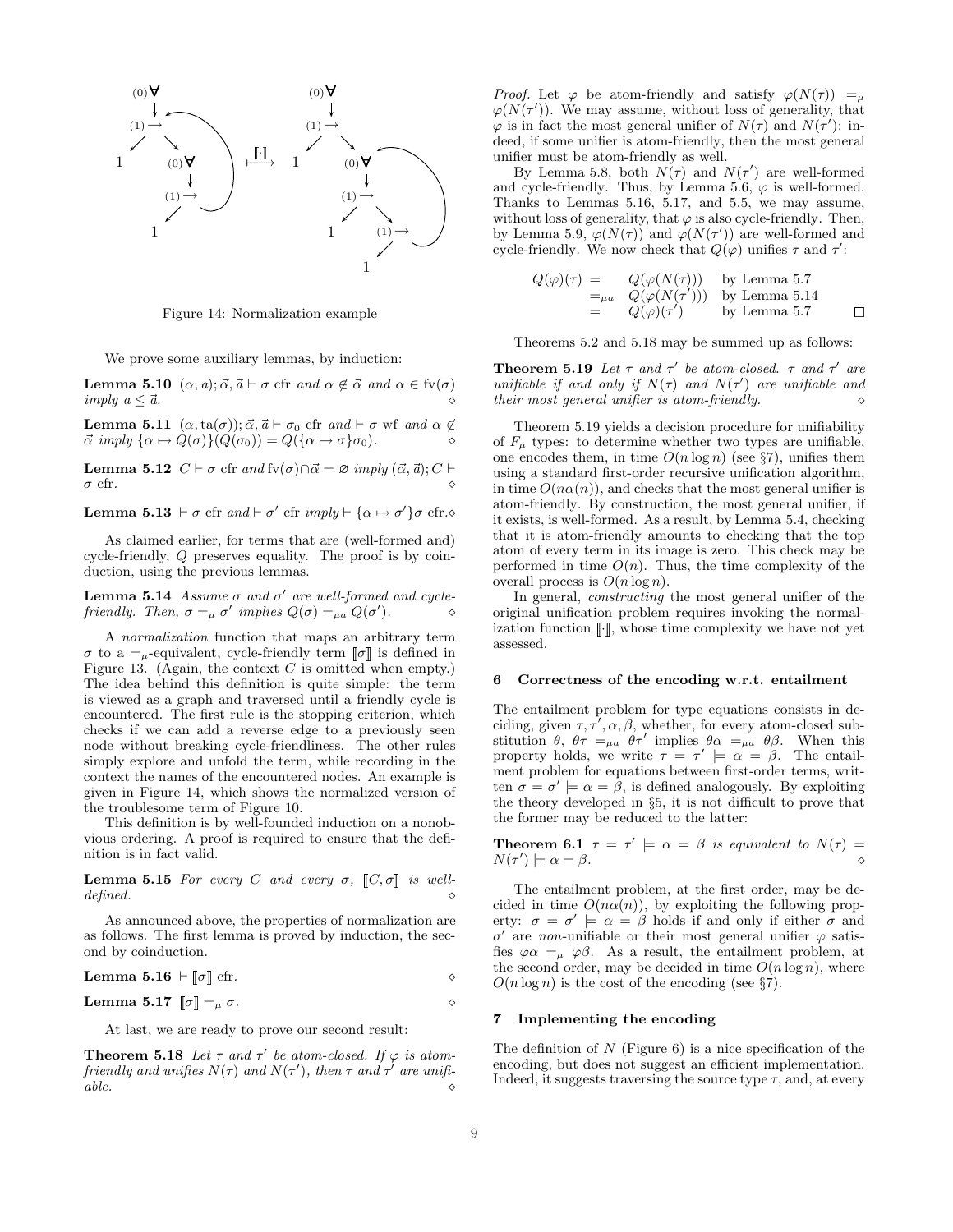

Figure 14: Normalization example

We prove some auxiliary lemmas, by induction:

**Lemma 5.10**  $(\alpha, a); \vec{\alpha}, \vec{a} \vdash \sigma \text{ cfr} \text{ and } \alpha \notin \vec{\alpha} \text{ and } \alpha \in \text{fv}(\sigma)$ imply  $a \leq \vec{a}$ .

**Lemma 5.11**  $(\alpha, \text{ta}(\sigma))$ ;  $\vec{\alpha}, \vec{a} \vdash \sigma_0$  cfr and  $\vdash \sigma$  wf and  $\alpha \notin \mathcal{C}$  $\vec{\alpha}$  imply  $\{\alpha \mapsto Q(\sigma)\}(Q(\sigma_0)) = Q(\{\alpha \mapsto \sigma\}\sigma_0).$ 

**Lemma 5.12**  $C \vdash \sigma$  cfr and fv $(\sigma) \cap \vec{\alpha} = \emptyset$  imply  $(\vec{\alpha}, \vec{\alpha}); C \vdash$  $\sigma$  cfr.  $\diamond$ 

**Lemma 5.13**  $\vdash \sigma$  cfr and  $\vdash \sigma'$  cfr imply  $\vdash {\alpha \mapsto \sigma'}$  of cfr.

As claimed earlier, for terms that are (well-formed and) cycle-friendly, Q preserves equality. The proof is by coinduction, using the previous lemmas.

**Lemma 5.14** Assume  $\sigma$  and  $\sigma'$  are well-formed and cyclefriendly. Then,  $\sigma =_{\mu} \sigma'$  implies  $Q(\sigma) =_{\mu} Q(\sigma')$ .  $\Diamond$ 

A normalization function that maps an arbitrary term  $\sigma$  to a =<sub>u</sub>-equivalent, cycle-friendly term  $\llbracket \sigma \rrbracket$  is defined in Figure 13. (Again, the context  $C$  is omitted when empty.) The idea behind this definition is quite simple: the term is viewed as a graph and traversed until a friendly cycle is encountered. The first rule is the stopping criterion, which checks if we can add a reverse edge to a previously seen node without breaking cycle-friendliness. The other rules simply explore and unfold the term, while recording in the context the names of the encountered nodes. An example is given in Figure 14, which shows the normalized version of the troublesome term of Figure 10.

This definition is by well-founded induction on a nonobvious ordering. A proof is required to ensure that the definition is in fact valid.

Lemma 5.15 For every C and every  $\sigma$ ,  $\llbracket C, \sigma \rrbracket$  is well $defined.$ 

As announced above, the properties of normalization are as follows. The first lemma is proved by induction, the second by coinduction.

**Lemma 5.16** 
$$
\vdash
$$
  $\llbracket \sigma \rrbracket$  cfr.

$$
Lemma 5.17  $\llbracket \sigma \rrbracket =_{\mu} \sigma.$
$$

At last, we are ready to prove our second result:

**Theorem 5.18** Let  $\tau$  and  $\tau'$  be atom-closed. If  $\varphi$  is atomfriendly and unifies  $N(\tau)$  and  $N(\tau')$ , then  $\tau$  and  $\tau'$  are unifiable.  $\Diamond$  *Proof.* Let  $\varphi$  be atom-friendly and satisfy  $\varphi(N(\tau)) = \mu$  $\varphi(N(\tau'))$ . We may assume, without loss of generality, that  $\varphi$  is in fact the most general unifier of  $N(\tau)$  and  $N(\tau')$ : indeed, if some unifier is atom-friendly, then the most general unifier must be atom-friendly as well.

By Lemma 5.8, both  $N(\tau)$  and  $N(\tau')$  are well-formed and cycle-friendly. Thus, by Lemma 5.6,  $\varphi$  is well-formed. Thanks to Lemmas 5.16, 5.17, and 5.5, we may assume, without loss of generality, that  $\varphi$  is also cycle-friendly. Then, by Lemma 5.9,  $\varphi(N(\tau))$  and  $\varphi(N(\tau'))$  are well-formed and cycle-friendly. We now check that  $Q(\varphi)$  unifies  $\tau$  and  $\tau'$ :

$$
Q(\varphi)(\tau) = Q(\varphi(N(\tau))) \text{ by Lemma 5.7}
$$
  
= $\mu a$   $Q(\varphi(N(\tau')))$  by Lemma 5.14  
=  $Q(\varphi)(\tau')$  by Lemma 5.7

Theorems 5.2 and 5.18 may be summed up as follows:

**Theorem 5.19** Let  $\tau$  and  $\tau'$  be atom-closed.  $\tau$  and  $\tau'$  are unifiable if and only if  $N(\tau)$  and  $N(\tau')$  are unifiable and their most general unifier is atom-friendly.  $\diamond$ 

Theorem 5.19 yields a decision procedure for unifiability of  $F_{\mu}$  types: to determine whether two types are unifiable, one encodes them, in time  $O(n \log n)$  (see §7), unifies them using a standard first-order recursive unification algorithm, in time  $O(n\alpha(n))$ , and checks that the most general unifier is atom-friendly. By construction, the most general unifier, if it exists, is well-formed. As a result, by Lemma 5.4, checking that it is atom-friendly amounts to checking that the top atom of every term in its image is zero. This check may be performed in time  $O(n)$ . Thus, the time complexity of the overall process is  $O(n \log n)$ .

In general, constructing the most general unifier of the original unification problem requires invoking the normalization function  $\llbracket \cdot \rrbracket$ , whose time complexity we have not yet assessed.

#### 6 Correctness of the encoding w.r.t. entailment

The entailment problem for type equations consists in deciding, given  $\tau, \tau', \alpha, \beta$ , whether, for every atom-closed substitution  $\theta$ ,  $\theta \tau =_{\mu a} \theta \tau'$  implies  $\theta \alpha =_{\mu a} \theta \beta$ . When this property holds, we write  $\tau = \tau' \models \alpha = \beta$ . The entailment problem for equations between first-order terms, written  $\sigma = \sigma' \models \alpha = \beta$ , is defined analogously. By exploiting the theory developed in §5, it is not difficult to prove that the former may be reduced to the latter:

**Theorem 6.1** 
$$
\tau = \tau' \models \alpha = \beta
$$
 is equivalent to  $N(\tau) =$   
 $N(\tau') \models \alpha = \beta$ .

The entailment problem, at the first order, may be decided in time  $O(n\alpha(n))$ , by exploiting the following property:  $\sigma = \sigma' \models \alpha = \beta$  holds if and only if either  $\sigma$  and  $σ'$  are *non*-unifiable or their most general unifier  $φ$  satisfies  $\varphi \alpha =_{\mu} \varphi \beta$ . As a result, the entailment problem, at the second order, may be decided in time  $O(n \log n)$ , where  $O(n \log n)$  is the cost of the encoding (see §7).

## 7 Implementing the encoding

The definition of  $N$  (Figure 6) is a nice specification of the encoding, but does not suggest an efficient implementation. Indeed, it suggests traversing the source type  $\tau$ , and, at every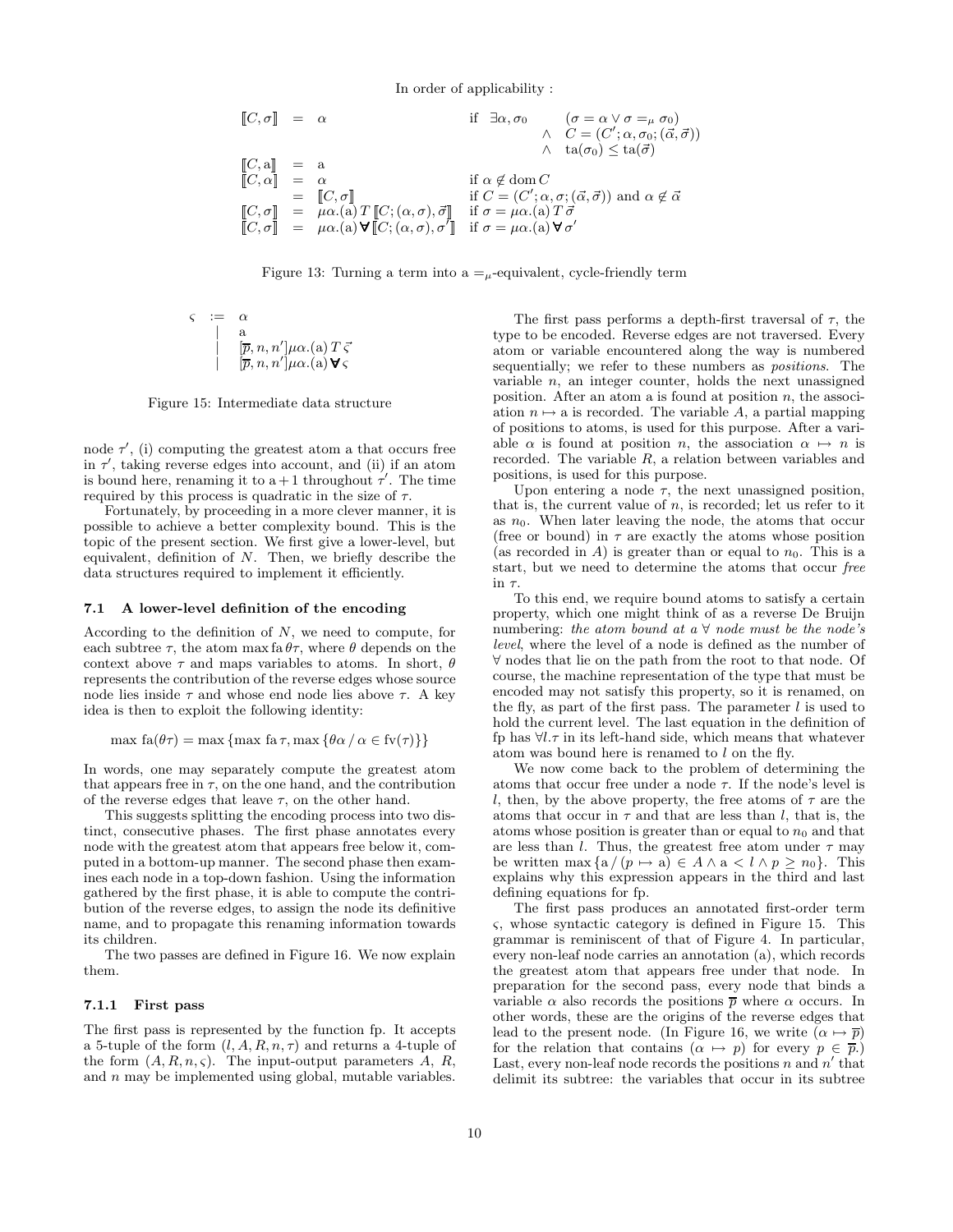In order of applicability :

$$
\begin{array}{rcl}\n[C, \sigma] & = & \alpha & \text{if } \exists \alpha, \sigma_0 \qquad (\sigma = \alpha \lor \sigma =_{\mu} \sigma_0) \\
\begin{array}{rcl}\n[C, \mathbf{a}] & = & \mathbf{a} \\
[C, \alpha] & = & \alpha\n\end{array}\n\end{array}
$$
\n
$$
\begin{array}{rcl}\n[C, \mathbf{a}] & = & \mathbf{a} \\
[C, \alpha] & = & \alpha\n\end{array}
$$
\n
$$
\begin{array}{rcl}\n[C, \sigma] & = & \mathbf{a} \\
[C, \sigma] & = & \mathbf{a} \\
[C, \sigma] & = & \mathbf{a} \\
[C, \sigma] & = & \mathbf{a} \\
[C, \sigma] & = & \mathbf{a} \\
[C, \sigma] & = & \mathbf{a} \\
[C, \sigma] & = & \mathbf{a} \cdot (\mathbf{a}) \mathbf{T} \left[ C; (\alpha, \sigma), \vec{\sigma} \right] \\
[C, \sigma] & = & \mathbf{a} \cdot (\mathbf{a}) \mathbf{V} \left[ C; (\alpha, \sigma), \sigma' \right] \\
[\sigma = & \mathbf{a} \cdot (\mathbf{a}) \mathbf{V} \sigma' \\
[\sigma = & \mathbf{a} \cdot (\mathbf{a}) \mathbf{V} \sigma' \\
[\sigma = & \mathbf{a} \cdot (\mathbf{a}) \mathbf{V} \sigma' \\
[\sigma = & \mathbf{a} \cdot (\mathbf{a}) \mathbf{V} \sigma' \\
[\sigma = & \mathbf{a} \cdot (\mathbf{a}) \mathbf{V} \sigma' \\
[\sigma = & \mathbf{a} \cdot (\mathbf{a}) \mathbf{V} \sigma' \\
[\sigma = & \mathbf{a} \cdot (\mathbf{a}) \mathbf{V} \sigma' \\
[\sigma = & \mathbf{a} \cdot (\mathbf{a}) \mathbf{V} \sigma' \\
[\sigma = & \mathbf{a} \cdot (\mathbf{a}) \mathbf{V} \sigma' \\
[\sigma = & \mathbf{a} \cdot (\mathbf{a}) \mathbf{V} \sigma \sigma \end{array}
$$

Figure 13: Turning a term into a  $=$ <sub> $\mu$ </sub>-equivalent, cycle-friendly term

$$
\begin{array}{rcl}\n\varsigma & := & \alpha \\
& & \alpha \\
& & \beta, n, n' \end{array}
$$
\n
$$
\begin{array}{rcl}\n\varphi & \pi \circ \varphi & \pi \circ \pi \\
& & \beta, n, n' \end{array}
$$

Figure 15: Intermediate data structure

node  $\tau'$ , (i) computing the greatest atom a that occurs free in  $\tau'$ , taking reverse edges into account, and (ii) if an atom is bound here, renaming it to  $a+1$  throughout  $\tau'$ . The time required by this process is quadratic in the size of  $\tau$ .

Fortunately, by proceeding in a more clever manner, it is possible to achieve a better complexity bound. This is the topic of the present section. We first give a lower-level, but equivalent, definition of N. Then, we briefly describe the data structures required to implement it efficiently.

## 7.1 A lower-level definition of the encoding

According to the definition of  $N$ , we need to compute, for each subtree  $\tau$ , the atom max fa $\theta\tau$ , where  $\theta$  depends on the context above  $\tau$  and maps variables to atoms. In short,  $\theta$ represents the contribution of the reverse edges whose source node lies inside  $\tau$  and whose end node lies above  $\tau$ . A key idea is then to exploit the following identity:

$$
\max f_a(\theta \tau) = \max \{ \max f_a \tau, \max \{ \theta \alpha / \alpha \in \text{fv}(\tau) \} \}
$$

In words, one may separately compute the greatest atom that appears free in  $\tau$ , on the one hand, and the contribution of the reverse edges that leave  $\tau$ , on the other hand.

This suggests splitting the encoding process into two distinct, consecutive phases. The first phase annotates every node with the greatest atom that appears free below it, computed in a bottom-up manner. The second phase then examines each node in a top-down fashion. Using the information gathered by the first phase, it is able to compute the contribution of the reverse edges, to assign the node its definitive name, and to propagate this renaming information towards its children.

The two passes are defined in Figure 16. We now explain them.

#### 7.1.1 First pass

The first pass is represented by the function fp. It accepts a 5-tuple of the form  $(l, A, R, n, \tau)$  and returns a 4-tuple of the form  $(A, R, n, \varsigma)$ . The input-output parameters A, R, and  $\boldsymbol{n}$  may be implemented using global, mutable variables.

The first pass performs a depth-first traversal of  $\tau$ , the type to be encoded. Reverse edges are not traversed. Every atom or variable encountered along the way is numbered sequentially; we refer to these numbers as *positions*. The variable  $n$ , an integer counter, holds the next unassigned position. After an atom a is found at position  $n$ , the association  $n \mapsto a$  is recorded. The variable A, a partial mapping of positions to atoms, is used for this purpose. After a variable  $\alpha$  is found at position  $n$ , the association  $\alpha \mapsto n$  is recorded. The variable R, a relation between variables and positions, is used for this purpose.

Upon entering a node  $\tau$ , the next unassigned position, that is, the current value of  $n$ , is recorded; let us refer to it as  $n_0$ . When later leaving the node, the atoms that occur (free or bound) in  $\tau$  are exactly the atoms whose position (as recorded in A) is greater than or equal to  $n_0$ . This is a start, but we need to determine the atoms that occur free in  $\tau$ .

To this end, we require bound atoms to satisfy a certain property, which one might think of as a reverse De Bruijn numbering: the atom bound at a  $\forall$  node must be the node's level, where the level of a node is defined as the number of ∀ nodes that lie on the path from the root to that node. Of course, the machine representation of the type that must be encoded may not satisfy this property, so it is renamed, on the fly, as part of the first pass. The parameter  $l$  is used to hold the current level. The last equation in the definition of fp has  $\forall l.\tau$  in its left-hand side, which means that whatever atom was bound here is renamed to  $l$  on the fly.

We now come back to the problem of determining the atoms that occur free under a node  $\tau$ . If the node's level is l, then, by the above property, the free atoms of  $\tau$  are the atoms that occur in  $\tau$  and that are less than l, that is, the atoms whose position is greater than or equal to  $n_0$  and that are less than l. Thus, the greatest free atom under  $\tau$  may be written max  $\{a/(p \mapsto a) \in A \land a < l \land p \geq n_0\}$ . This explains why this expression appears in the third and last defining equations for fp.

The first pass produces an annotated first-order term ς, whose syntactic category is defined in Figure 15. This grammar is reminiscent of that of Figure 4. In particular, every non-leaf node carries an annotation (a), which records the greatest atom that appears free under that node. In preparation for the second pass, every node that binds a variable  $\alpha$  also records the positions  $\bar{p}$  where  $\alpha$  occurs. In other words, these are the origins of the reverse edges that lead to the present node. (In Figure 16, we write  $(\alpha \mapsto \overline{p})$ for the relation that contains  $(\alpha \mapsto p)$  for every  $p \in \overline{p}$ . Last, every non-leaf node records the positions  $n$  and  $n'$  that delimit its subtree: the variables that occur in its subtree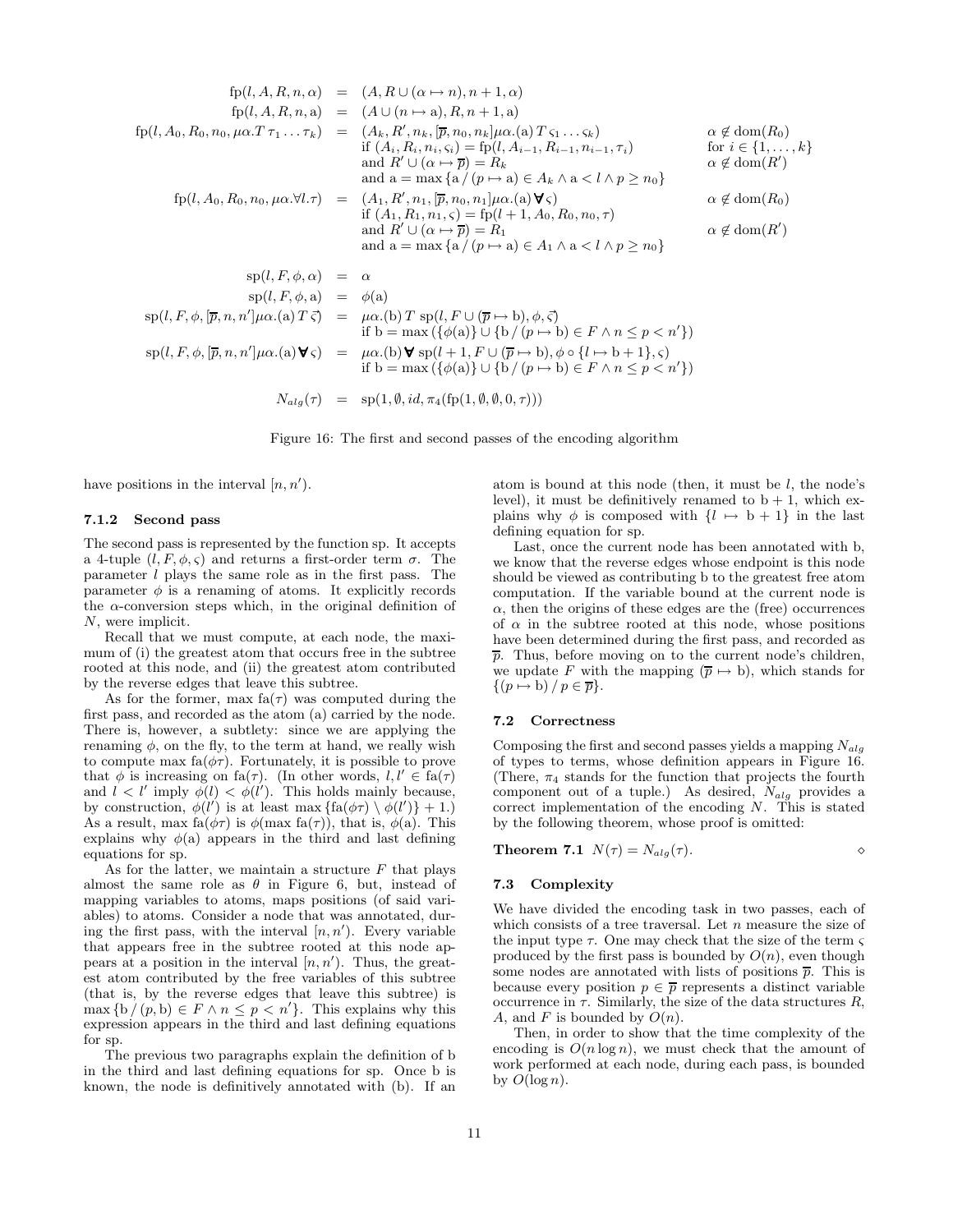$$
\begin{array}{rcl}\n\text{fp}(l, A, R, n, \alpha) & = & (A, R \cup (\alpha \mapsto n), n+1, \alpha) \\
\text{fp}(l, A, R, n, \mathbf{a}) & = & (A \cup (n \mapsto \mathbf{a}), R, n+1, \mathbf{a}) \\
\text{fp}(l, A_0, R_0, n_0, \mu \alpha. T \tau_1 \dots \tau_k) & = & (A_k, R', n_k, [\overline{p}, n_0, n_k] \mu \alpha.(\mathbf{a}) \, T \, \varsigma_1 \dots \varsigma_k) \\
& \text{if } (A_i, R_i, n_i, \varsigma_i) = \text{fp}(l, A_{i-1}, R_{i-1}, n_{i-1}, \tau_i) \\
& \text{and } R' \cup (\alpha \mapsto \overline{p}) = R_k \\
& \text{and } \mathbf{a} = \max \{ \mathbf{a} / (p \mapsto \mathbf{a}) \in A_k \land \mathbf{a} < l \land p \ge n_0 \} \\
\text{fp}(l, A_0, R_0, n_0, \mu \alpha. \forall l. \tau) & = & (A_1, R', n_1, [\overline{p}, n_0, n_1] \mu \alpha.(\mathbf{a}) \, \forall \varsigma) \\
& \text{if } (A_1, R_1, n_1, \varsigma) = \text{fp}(l + 1, A_0, R_0, n_0, \tau) \\
& \text{and } R' \cup (\alpha \mapsto \overline{p}) = R_1 \\
& \text{and } \mathbf{a} = \max \{ \mathbf{a} / (p \mapsto \mathbf{a}) \in A_1 \land \mathbf{a} < l \land p \ge n_0 \} \\
& \text{sp}(l, F, \phi, \alpha) & = \alpha \\
& \text{sp}(l, F, \phi, \mathbf{a}) & = \phi(\mathbf{a}) \\
\text{sp}(l, F, \phi, [\overline{p}, n, n'] \mu \alpha.(\mathbf{a}) \, T \, \vec{\varsigma}) & = \mu \alpha.(\mathbf{b}) \, \text{F} \, \text{sp}(l, F \cup (\overline{p} \mapsto \mathbf{b}), \phi, \vec{\varsigma}) \\
& \text{sp}(l, F, \phi, [\overline{p}, n, n'] \mu \alpha.(\mathbf{
$$

Figure 16: The first and second passes of the encoding algorithm

have positions in the interval  $[n, n']$ .

#### 7.1.2 Second pass

The second pass is represented by the function sp. It accepts a 4-tuple  $(l, F, \phi, \varsigma)$  and returns a first-order term  $\sigma$ . The parameter l plays the same role as in the first pass. The parameter  $\phi$  is a renaming of atoms. It explicitly records the  $\alpha$ -conversion steps which, in the original definition of N, were implicit.

Recall that we must compute, at each node, the maximum of (i) the greatest atom that occurs free in the subtree rooted at this node, and (ii) the greatest atom contributed by the reverse edges that leave this subtree.

As for the former, max  $fa(\tau)$  was computed during the first pass, and recorded as the atom (a) carried by the node. There is, however, a subtlety: since we are applying the renaming  $\phi$ , on the fly, to the term at hand, we really wish to compute max fa( $\phi\tau$ ). Fortunately, it is possible to prove that  $\phi$  is increasing on fa(τ). (In other words,  $l, l' \in \text{fa}(\tau)$ and  $l' < l'$  imply  $\phi(l) < \phi(l')$ . This holds mainly because, by construction,  $\phi(l')$  is at least max  $\{\text{fa}(\phi\tau) \setminus \phi(l')\} + 1$ . As a result, max fa( $\phi\tau$ ) is  $\phi$ (max fa( $\tau$ )), that is,  $\phi$ (a). This explains why  $\phi(a)$  appears in the third and last defining equations for sp.

As for the latter, we maintain a structure  $F$  that plays almost the same role as  $\theta$  in Figure 6, but, instead of mapping variables to atoms, maps positions (of said variables) to atoms. Consider a node that was annotated, during the first pass, with the interval  $[n, n']$ . Every variable that appears free in the subtree rooted at this node appears at a position in the interval  $[n, n']$ . Thus, the greatest atom contributed by the free variables of this subtree (that is, by the reverse edges that leave this subtree) is  $\max \{b/(p, b) \in F \land n \leq p < n'\}.$  This explains why this expression appears in the third and last defining equations for sp.

The previous two paragraphs explain the definition of b in the third and last defining equations for sp. Once b is known, the node is definitively annotated with (b). If an atom is bound at this node (then, it must be  $l$ , the node's level), it must be definitively renamed to  $b + 1$ , which explains why  $\phi$  is composed with  $\{l \mapsto b + 1\}$  in the last defining equation for sp.

Last, once the current node has been annotated with b, we know that the reverse edges whose endpoint is this node should be viewed as contributing b to the greatest free atom computation. If the variable bound at the current node is  $\alpha$ , then the origins of these edges are the (free) occurrences of  $\alpha$  in the subtree rooted at this node, whose positions have been determined during the first pass, and recorded as  $\bar{p}$ . Thus, before moving on to the current node's children, we update F with the mapping  $(\overline{p} \mapsto b)$ , which stands for  $\{(p \mapsto b) / p \in \overline{p}\}.$ 

## 7.2 Correctness

Composing the first and second passes yields a mapping  $N_{alg}$ of types to terms, whose definition appears in Figure 16. (There,  $\pi_4$  stands for the function that projects the fourth component out of a tuple.) As desired,  $N_{ala}$  provides a correct implementation of the encoding N. This is stated by the following theorem, whose proof is omitted:

**Theorem 7.1** 
$$
N(\tau) = N_{alg}(\tau)
$$
.

#### 7.3 Complexity

We have divided the encoding task in two passes, each of which consists of a tree traversal. Let  $n$  measure the size of the input type  $\tau$ . One may check that the size of the term  $\varsigma$ produced by the first pass is bounded by  $O(n)$ , even though some nodes are annotated with lists of positions  $\bar{p}$ . This is because every position  $p \in \overline{p}$  represents a distinct variable occurrence in  $\tau$ . Similarly, the size of the data structures R, A, and F is bounded by  $O(n)$ .

Then, in order to show that the time complexity of the encoding is  $O(n \log n)$ , we must check that the amount of work performed at each node, during each pass, is bounded by  $O(\log n)$ .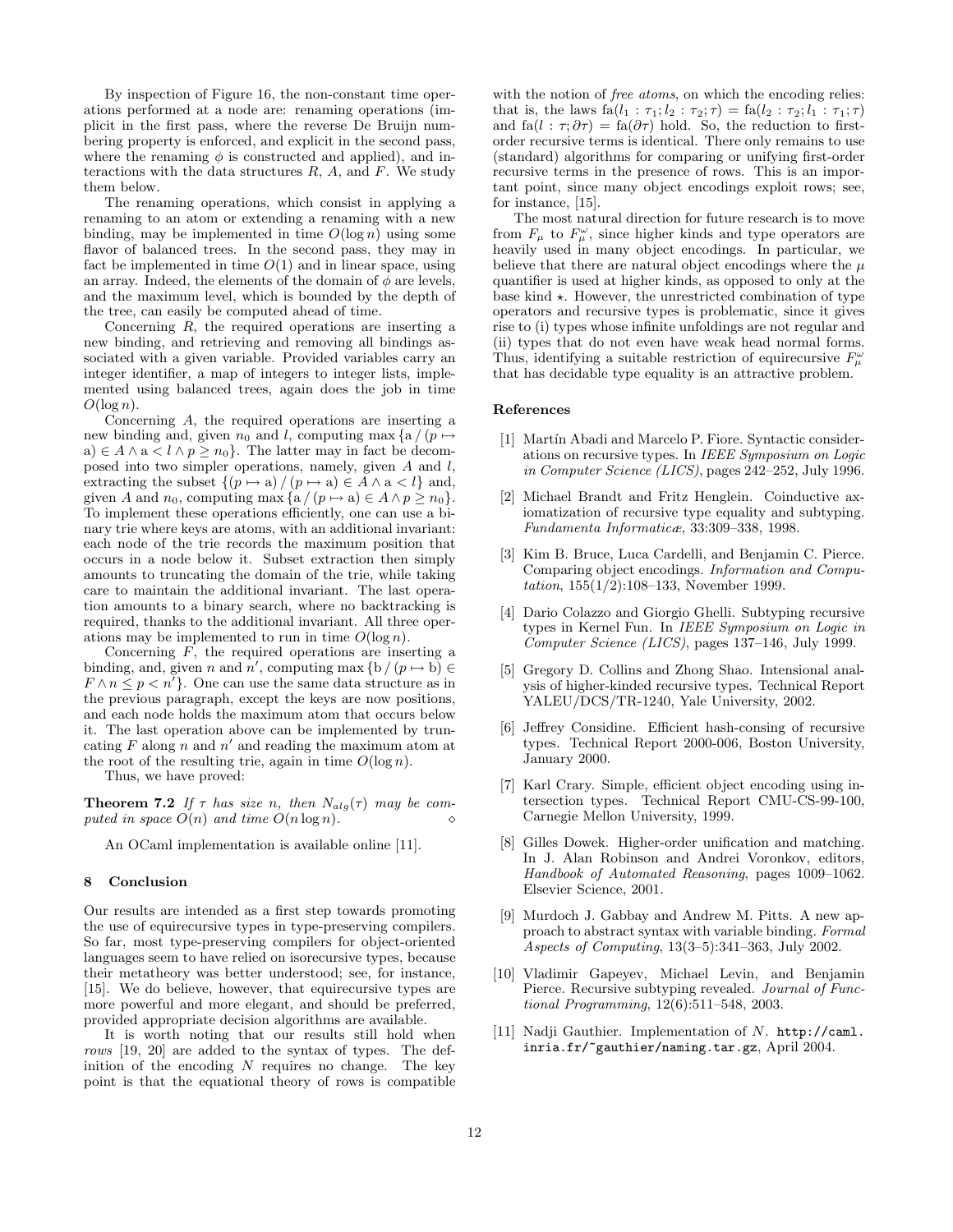By inspection of Figure 16, the non-constant time operations performed at a node are: renaming operations (implicit in the first pass, where the reverse De Bruijn numbering property is enforced, and explicit in the second pass, where the renaming  $\phi$  is constructed and applied), and interactions with the data structures  $R$ ,  $A$ , and  $F$ . We study them below.

The renaming operations, which consist in applying a renaming to an atom or extending a renaming with a new binding, may be implemented in time  $O(\log n)$  using some flavor of balanced trees. In the second pass, they may in fact be implemented in time  $O(1)$  and in linear space, using an array. Indeed, the elements of the domain of  $\phi$  are levels, and the maximum level, which is bounded by the depth of the tree, can easily be computed ahead of time.

Concerning R, the required operations are inserting a new binding, and retrieving and removing all bindings associated with a given variable. Provided variables carry an integer identifier, a map of integers to integer lists, implemented using balanced trees, again does the job in time  $O(\log n)$ .

Concerning A, the required operations are inserting a new binding and, given  $n_0$  and l, computing max {a / (p  $\mapsto$ a) ∈  $A \wedge a < l \wedge p \ge n_0$ . The latter may in fact be decomposed into two simpler operations, namely, given A and l, extracting the subset  $\{(p \mapsto a) / (p \mapsto a) \in A \land a < l\}$  and, given A and  $n_0$ , computing max {a / (p  $\mapsto$  a)  $\in A \wedge p \ge n_0$  }. To implement these operations efficiently, one can use a binary trie where keys are atoms, with an additional invariant: each node of the trie records the maximum position that occurs in a node below it. Subset extraction then simply amounts to truncating the domain of the trie, while taking care to maintain the additional invariant. The last operation amounts to a binary search, where no backtracking is required, thanks to the additional invariant. All three operations may be implemented to run in time  $O(\log n)$ .

Concerning  $F$ , the required operations are inserting a binding, and, given n and n', computing max {b /  $(p \mapsto b) \in$  $F \wedge n \leq p < n'$ . One can use the same data structure as in the previous paragraph, except the keys are now positions, and each node holds the maximum atom that occurs below it. The last operation above can be implemented by truncating  $F$  along  $n$  and  $n'$  and reading the maximum atom at the root of the resulting trie, again in time  $O(\log n)$ .

Thus, we have proved:

**Theorem 7.2** If  $\tau$  has size n, then  $N_{alg}(\tau)$  may be computed in space  $O(n)$  and time  $O(n \log n)$ .

An OCaml implementation is available online [11].

## 8 Conclusion

Our results are intended as a first step towards promoting the use of equirecursive types in type-preserving compilers. So far, most type-preserving compilers for object-oriented languages seem to have relied on isorecursive types, because their metatheory was better understood; see, for instance, [15]. We do believe, however, that equirecursive types are more powerful and more elegant, and should be preferred, provided appropriate decision algorithms are available.

It is worth noting that our results still hold when rows [19, 20] are added to the syntax of types. The definition of the encoding  $N$  requires no change. The key point is that the equational theory of rows is compatible with the notion of *free atoms*, on which the encoding relies: that is, the laws  $fa(l_1 : \tau_1; l_2 : \tau_2; \tau) = fa(l_2 : \tau_2; l_1 : \tau_1; \tau)$ and fa(l :  $\tau$ ;  $\partial \tau$ ) = fa( $\partial \tau$ ) hold. So, the reduction to firstorder recursive terms is identical. There only remains to use (standard) algorithms for comparing or unifying first-order recursive terms in the presence of rows. This is an important point, since many object encodings exploit rows; see, for instance, [15].

The most natural direction for future research is to move from  $F_{\mu}$  to  $F_{\mu}^{\omega}$ , since higher kinds and type operators are heavily used in many object encodings. In particular, we believe that there are natural object encodings where the  $\mu$ quantifier is used at higher kinds, as opposed to only at the base kind  $\star$ . However, the unrestricted combination of type operators and recursive types is problematic, since it gives rise to (i) types whose infinite unfoldings are not regular and (ii) types that do not even have weak head normal forms. Thus, identifying a suitable restriction of equirecursive  $F^{\omega}_{\mu}$ that has decidable type equality is an attractive problem.

#### References

- [1] Martín Abadi and Marcelo P. Fiore. Syntactic considerations on recursive types. In IEEE Symposium on Logic in Computer Science (LICS), pages 242–252, July 1996.
- [2] Michael Brandt and Fritz Henglein. Coinductive axiomatization of recursive type equality and subtyping. Fundamenta Informaticæ, 33:309–338, 1998.
- [3] Kim B. Bruce, Luca Cardelli, and Benjamin C. Pierce. Comparing object encodings. Information and Computation, 155(1/2):108–133, November 1999.
- [4] Dario Colazzo and Giorgio Ghelli. Subtyping recursive types in Kernel Fun. In IEEE Symposium on Logic in Computer Science (LICS), pages 137–146, July 1999.
- [5] Gregory D. Collins and Zhong Shao. Intensional analysis of higher-kinded recursive types. Technical Report YALEU/DCS/TR-1240, Yale University, 2002.
- [6] Jeffrey Considine. Efficient hash-consing of recursive types. Technical Report 2000-006, Boston University, January 2000.
- [7] Karl Crary. Simple, efficient object encoding using intersection types. Technical Report CMU-CS-99-100, Carnegie Mellon University, 1999.
- [8] Gilles Dowek. Higher-order unification and matching. In J. Alan Robinson and Andrei Voronkov, editors, Handbook of Automated Reasoning, pages 1009–1062. Elsevier Science, 2001.
- [9] Murdoch J. Gabbay and Andrew M. Pitts. A new approach to abstract syntax with variable binding. Formal Aspects of Computing, 13(3–5):341–363, July 2002.
- [10] Vladimir Gapeyev, Michael Levin, and Benjamin Pierce. Recursive subtyping revealed. Journal of Functional Programming, 12(6):511–548, 2003.
- [11] Nadji Gauthier. Implementation of N. http://caml. inria.fr/~gauthier/naming.tar.gz, April 2004.